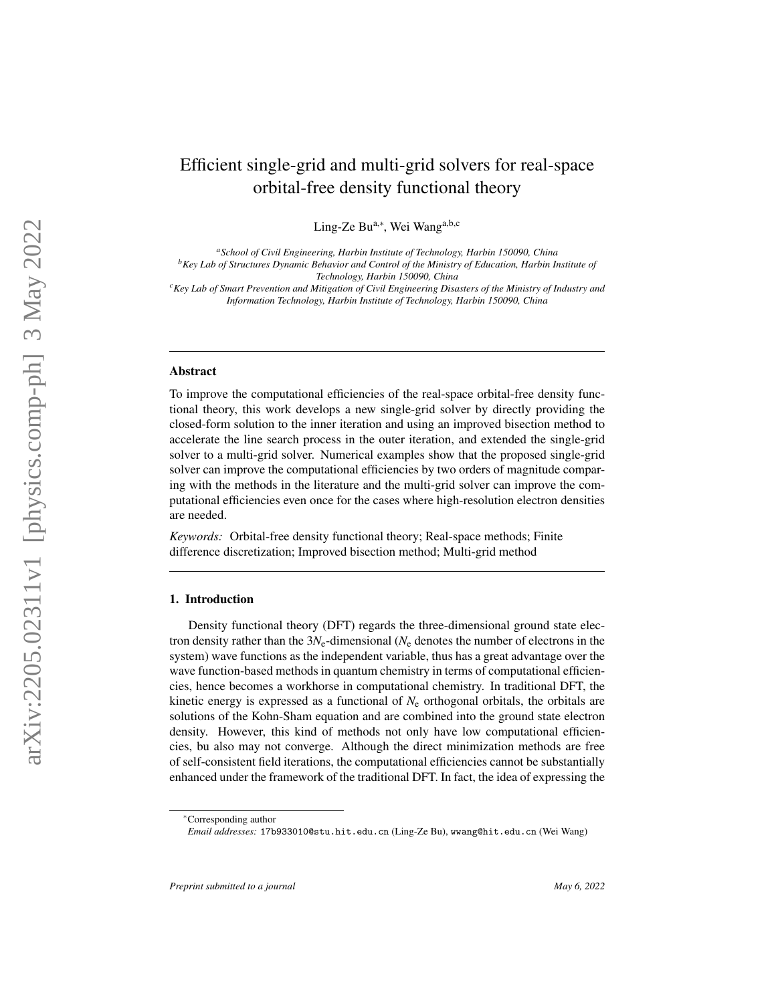# Efficient single-grid and multi-grid solvers for real-space orbital-free density functional theory

Ling-Ze Bu<sup>a,\*</sup>, Wei Wang<sup>a,b,c</sup>

*<sup>a</sup>School of Civil Engineering, Harbin Institute of Technology, Harbin 150090, China <sup>b</sup>Key Lab of Structures Dynamic Behavior and Control of the Ministry of Education, Harbin Institute of Technology, Harbin 150090, China <sup>c</sup>Key Lab of Smart Prevention and Mitigation of Civil Engineering Disasters of the Ministry of Industry and*

*Information Technology, Harbin Institute of Technology, Harbin 150090, China*

### Abstract

To improve the computational efficiencies of the real-space orbital-free density functional theory, this work develops a new single-grid solver by directly providing the closed-form solution to the inner iteration and using an improved bisection method to accelerate the line search process in the outer iteration, and extended the single-grid solver to a multi-grid solver. Numerical examples show that the proposed single-grid solver can improve the computational efficiencies by two orders of magnitude comparing with the methods in the literature and the multi-grid solver can improve the computational efficiencies even once for the cases where high-resolution electron densities are needed.

*Keywords:* Orbital-free density functional theory; Real-space methods; Finite difference discretization; Improved bisection method; Multi-grid method

#### 1. Introduction

Density functional theory (DFT) regards the three-dimensional ground state electron density rather than the  $3N_e$ -dimensional ( $N_e$  denotes the number of electrons in the system) wave functions as the independent variable, thus has a great advantage over the wave function-based methods in quantum chemistry in terms of computational efficiencies, hence becomes a workhorse in computational chemistry. In traditional DFT, the kinetic energy is expressed as a functional of *N*<sup>e</sup> orthogonal orbitals, the orbitals are solutions of the Kohn-Sham equation and are combined into the ground state electron density. However, this kind of methods not only have low computational efficiencies, bu also may not converge. Although the direct minimization methods are free of self-consistent field iterations, the computational efficiencies cannot be substantially enhanced under the framework of the traditional DFT. In fact, the idea of expressing the

<sup>∗</sup>Corresponding author

*Email addresses:* 17b933010@stu.hit.edu.cn (Ling-Ze Bu), wwang@hit.edu.cn (Wei Wang)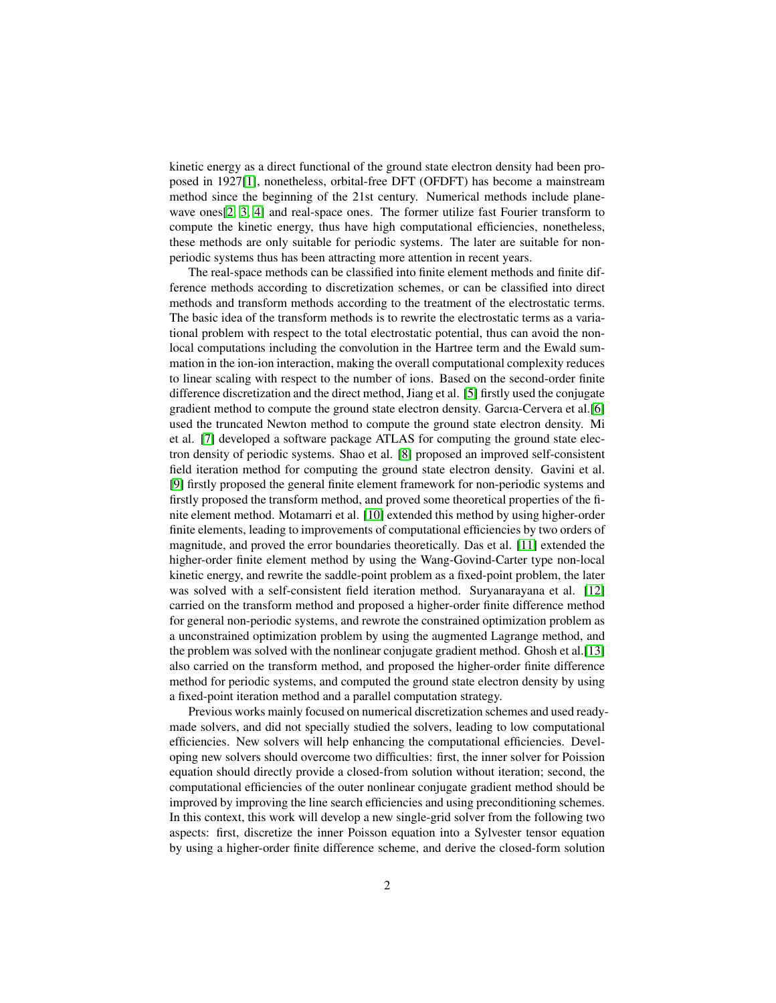kinetic energy as a direct functional of the ground state electron density had been proposed in 1927[\[1\]](#page-20-0), nonetheless, orbital-free DFT (OFDFT) has become a mainstream method since the beginning of the 21st century. Numerical methods include planewave ones[\[2,](#page-20-1) [3,](#page-20-2) [4\]](#page-20-3) and real-space ones. The former utilize fast Fourier transform to compute the kinetic energy, thus have high computational efficiencies, nonetheless, these methods are only suitable for periodic systems. The later are suitable for nonperiodic systems thus has been attracting more attention in recent years.

The real-space methods can be classified into finite element methods and finite difference methods according to discretization schemes, or can be classified into direct methods and transform methods according to the treatment of the electrostatic terms. The basic idea of the transform methods is to rewrite the electrostatic terms as a variational problem with respect to the total electrostatic potential, thus can avoid the nonlocal computations including the convolution in the Hartree term and the Ewald summation in the ion-ion interaction, making the overall computational complexity reduces to linear scaling with respect to the number of ions. Based on the second-order finite difference discretization and the direct method, Jiang et al. [\[5\]](#page-20-4) firstly used the conjugate gradient method to compute the ground state electron density. Garcıa-Cervera et al.[\[6\]](#page-20-5) used the truncated Newton method to compute the ground state electron density. Mi et al. [\[7\]](#page-20-6) developed a software package ATLAS for computing the ground state electron density of periodic systems. Shao et al. [\[8\]](#page-20-7) proposed an improved self-consistent field iteration method for computing the ground state electron density. Gavini et al. [\[9\]](#page-20-8) firstly proposed the general finite element framework for non-periodic systems and firstly proposed the transform method, and proved some theoretical properties of the finite element method. Motamarri et al. [\[10\]](#page-20-9) extended this method by using higher-order finite elements, leading to improvements of computational efficiencies by two orders of magnitude, and proved the error boundaries theoretically. Das et al. [\[11\]](#page-21-0) extended the higher-order finite element method by using the Wang-Govind-Carter type non-local kinetic energy, and rewrite the saddle-point problem as a fixed-point problem, the later was solved with a self-consistent field iteration method. Suryanarayana et al. [\[12\]](#page-21-1) carried on the transform method and proposed a higher-order finite difference method for general non-periodic systems, and rewrote the constrained optimization problem as a unconstrained optimization problem by using the augmented Lagrange method, and the problem was solved with the nonlinear conjugate gradient method. Ghosh et al.[\[13\]](#page-21-2) also carried on the transform method, and proposed the higher-order finite difference method for periodic systems, and computed the ground state electron density by using a fixed-point iteration method and a parallel computation strategy.

Previous works mainly focused on numerical discretization schemes and used readymade solvers, and did not specially studied the solvers, leading to low computational efficiencies. New solvers will help enhancing the computational efficiencies. Developing new solvers should overcome two difficulties: first, the inner solver for Poission equation should directly provide a closed-from solution without iteration; second, the computational efficiencies of the outer nonlinear conjugate gradient method should be improved by improving the line search efficiencies and using preconditioning schemes. In this context, this work will develop a new single-grid solver from the following two aspects: first, discretize the inner Poisson equation into a Sylvester tensor equation by using a higher-order finite difference scheme, and derive the closed-form solution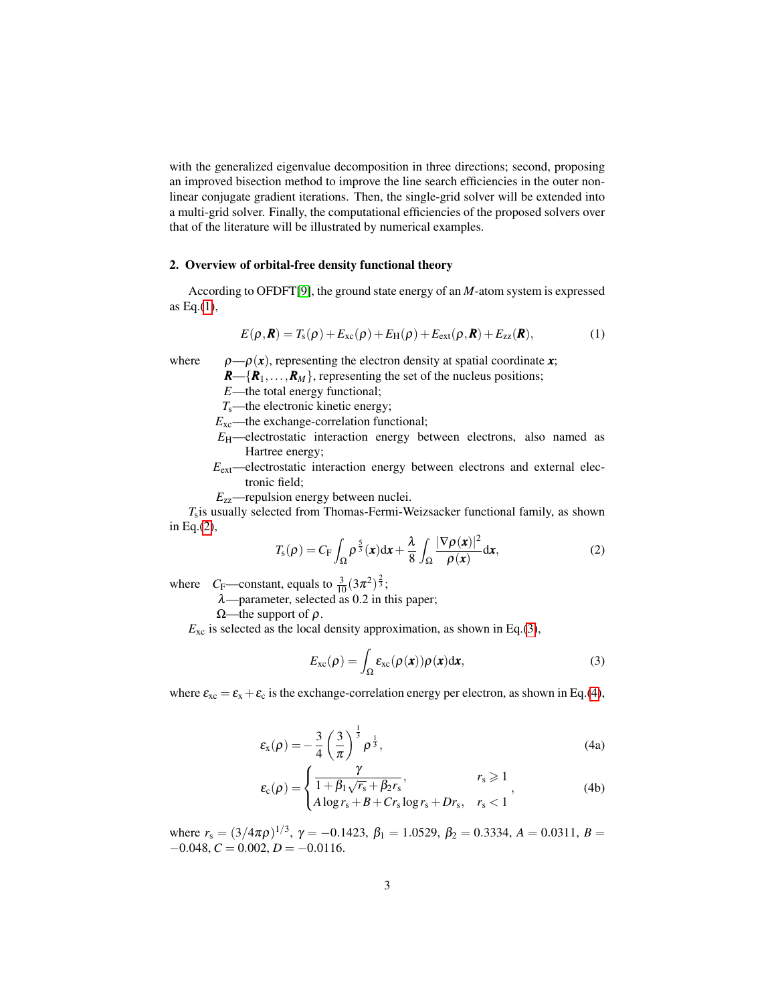with the generalized eigenvalue decomposition in three directions; second, proposing an improved bisection method to improve the line search efficiencies in the outer nonlinear conjugate gradient iterations. Then, the single-grid solver will be extended into a multi-grid solver. Finally, the computational efficiencies of the proposed solvers over that of the literature will be illustrated by numerical examples.

# 2. Overview of orbital-free density functional theory

According to OFDFT[\[9\]](#page-20-8), the ground state energy of an *M*-atom system is expressed as Eq. $(1)$ ,

<span id="page-2-0"></span>
$$
E(\rho, \mathbf{R}) = T_{\rm s}(\rho) + E_{\rm xc}(\rho) + E_{\rm H}(\rho) + E_{\rm ext}(\rho, \mathbf{R}) + E_{\rm zz}(\mathbf{R}),
$$
(1)

where  $\rho = \rho(x)$ , representing the electron density at spatial coordinate *x*;

 $R = \{R_1, \ldots, R_M\}$ , representing the set of the nucleus positions;

*E*—the total energy functional;

*T*s—the electronic kinetic energy;

*E*<sub>xc</sub>—the exchange-correlation functional;

- *E*H—electrostatic interaction energy between electrons, also named as Hartree energy;
- $E_{\text{ext}}$ —electrostatic interaction energy between electrons and external electronic field;
- <span id="page-2-1"></span>*E*zz—repulsion energy between nuclei.

*T*s is usually selected from Thomas-Fermi-Weizsacker functional family, as shown in Eq.[\(2\)](#page-2-1),

$$
T_{\rm s}(\rho) = C_{\rm F} \int_{\Omega} \rho^{\frac{5}{3}}(\boldsymbol{x}) d\boldsymbol{x} + \frac{\lambda}{8} \int_{\Omega} \frac{|\nabla \rho(\boldsymbol{x})|^2}{\rho(\boldsymbol{x})} d\boldsymbol{x}, \tag{2}
$$

where  $C_F$ —constant, equals to  $\frac{3}{10}(3\pi^2)^{\frac{2}{3}}$ ;

 $\lambda$ —parameter, selected as 0.2 in this paper;

 $Ω$ —the support of  $ρ$ .

 $E_{\text{xc}}$  is selected as the local density approximation, as shown in Eq.[\(3\)](#page-2-2),

<span id="page-2-2"></span>
$$
E_{\rm xc}(\rho) = \int_{\Omega} \varepsilon_{\rm xc}(\rho(\mathbf{x})) \rho(\mathbf{x}) d\mathbf{x},\tag{3}
$$

<span id="page-2-3"></span>where  $\varepsilon_{xc} = \varepsilon_x + \varepsilon_c$  is the exchange-correlation energy per electron, as shown in Eq.[\(4\)](#page-2-3),

$$
\varepsilon_{\mathbf{x}}(\rho) = -\frac{3}{4} \left(\frac{3}{\pi}\right)^{\frac{1}{3}} \rho^{\frac{1}{3}},\tag{4a}
$$

$$
\varepsilon_{\rm c}(\rho) = \begin{cases} \frac{\gamma}{1 + \beta_1 \sqrt{r_s} + \beta_2 r_s}, & r_s \geq 1\\ A \log r_s + B + Cr_s \log r_s + Dr_s, & r_s < 1 \end{cases}
$$
 (4b)

where  $r_s = (3/4\pi\rho)^{1/3}$ ,  $\gamma = -0.1423$ ,  $\beta_1 = 1.0529$ ,  $\beta_2 = 0.3334$ ,  $A = 0.0311$ ,  $B =$  $-0.048, C = 0.002, D = -0.0116.$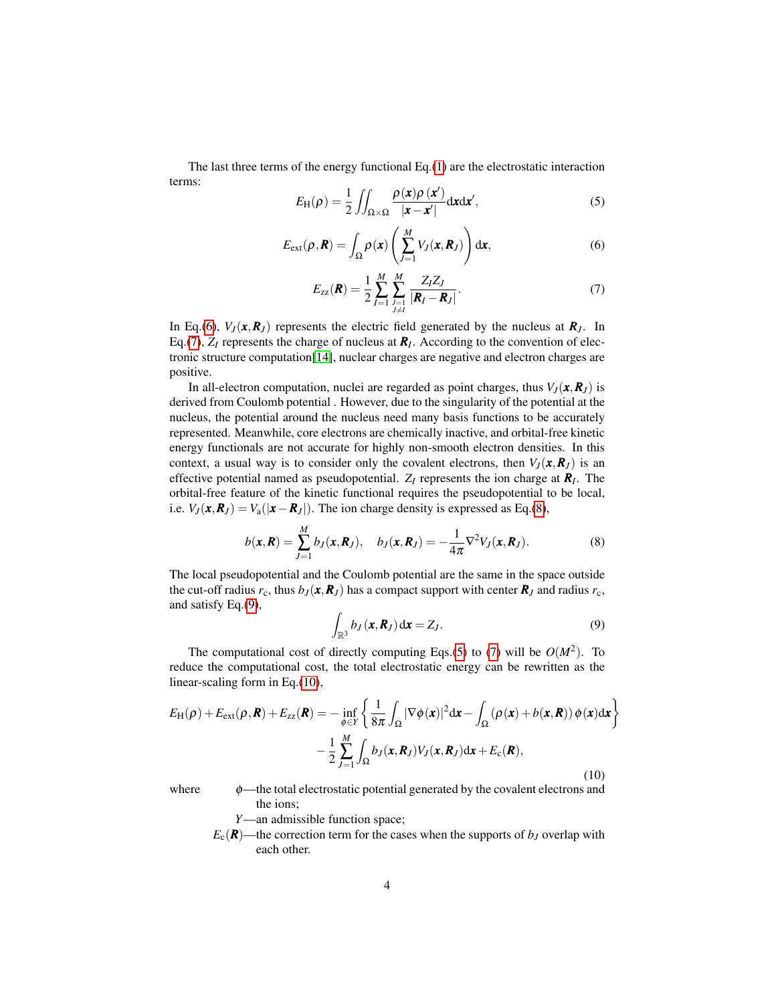<span id="page-3-4"></span><span id="page-3-0"></span>The last three terms of the energy functional Eq.[\(1\)](#page-2-0) are the electrostatic interaction terms:

$$
E_{\rm H}(\rho) = \frac{1}{2} \iint_{\Omega \times \Omega} \frac{\rho(x)\rho(x')}{|x - x'|} \, \mathrm{d}x \, \mathrm{d}x',\tag{5}
$$

$$
E_{\text{ext}}(\rho, \boldsymbol{R}) = \int_{\Omega} \rho(\boldsymbol{x}) \left( \sum_{J=1}^{M} V_J(\boldsymbol{x}, \boldsymbol{R}_J) \right) d\boldsymbol{x}, \tag{6}
$$

$$
E_{zz}(\mathbf{R}) = \frac{1}{2} \sum_{I=1}^{M} \sum_{\substack{J=1 \ J \neq I}}^{M} \frac{Z_I Z_J}{|\mathbf{R}_I - \mathbf{R}_J|}.
$$
(7)

<span id="page-3-1"></span>In Eq.[\(6\)](#page-3-0),  $V_J(\mathbf{x}, \mathbf{R}_J)$  represents the electric field generated by the nucleus at  $\mathbf{R}_J$ . In Eq.[\(7\)](#page-3-1),  $Z_I$  represents the charge of nucleus at  $R_I$ . According to the convention of electronic structure computation[\[14\]](#page-21-3), nuclear charges are negative and electron charges are positive.

In all-electron computation, nuclei are regarded as point charges, thus  $V_I(\mathbf{x}, \mathbf{R}_I)$  is derived from Coulomb potential . However, due to the singularity of the potential at the nucleus, the potential around the nucleus need many basis functions to be accurately represented. Meanwhile, core electrons are chemically inactive, and orbital-free kinetic energy functionals are not accurate for highly non-smooth electron densities. In this context, a usual way is to consider only the covalent electrons, then  $V_J(\mathbf{x}, \mathbf{R}_J)$  is an effective potential named as pseudopotential. *Z<sup>I</sup>* represents the ion charge at *R<sup>I</sup>* . The orbital-free feature of the kinetic functional requires the pseudopotential to be local, i.e.  $V_J(\mathbf{x}, \mathbf{R}_J) = V_a(|\mathbf{x} - \mathbf{R}_J|)$ . The ion charge density is expressed as Eq.[\(8\)](#page-3-2),

<span id="page-3-3"></span>
$$
b(\boldsymbol{x}, \boldsymbol{R}) = \sum_{J=1}^{M} b_J(\boldsymbol{x}, \boldsymbol{R}_J), \quad b_J(\boldsymbol{x}, \boldsymbol{R}_J) = -\frac{1}{4\pi} \nabla^2 V_J(\boldsymbol{x}, \boldsymbol{R}_J).
$$
 (8)

The local pseudopotential and the Coulomb potential are the same in the space outside the cut-off radius  $r_c$ , thus  $b_J(\mathbf{x}, \mathbf{R}_J)$  has a compact support with center  $\mathbf{R}_J$  and radius  $r_c$ , and satisfy Eq.[\(9\)](#page-3-3),

<span id="page-3-5"></span><span id="page-3-2"></span>
$$
\int_{\mathbb{R}^3} b_J(\mathbf{x}, \mathbf{R}_J) \, \mathrm{d}\mathbf{x} = Z_J. \tag{9}
$$

The computational cost of directly computing Eqs.[\(5\)](#page-3-4) to [\(7\)](#page-3-1) will be  $O(M^2)$ . To reduce the computational cost, the total electrostatic energy can be rewritten as the linear-scaling form in Eq.[\(10\)](#page-3-5),

$$
E_{\rm H}(\rho) + E_{\rm ext}(\rho, \mathbf{R}) + E_{\rm zz}(\mathbf{R}) = -\inf_{\phi \in Y} \left\{ \frac{1}{8\pi} \int_{\Omega} |\nabla \phi(\mathbf{x})|^2 d\mathbf{x} - \int_{\Omega} (\rho(\mathbf{x}) + b(\mathbf{x}, \mathbf{R})) \phi(\mathbf{x}) d\mathbf{x} \right\} - \frac{1}{2} \sum_{J=1}^{M} \int_{\Omega} b_J(\mathbf{x}, \mathbf{R}_J) V_J(\mathbf{x}, \mathbf{R}_J) d\mathbf{x} + E_{\rm c}(\mathbf{R}),
$$
\n(10)

where  $\phi$ —the total electrostatic potential generated by the covalent electrons and the ions;

*Y*—an admissible function space;

 $E_c(R)$ —the correction term for the cases when the supports of *b<sub>J</sub>* overlap with each other.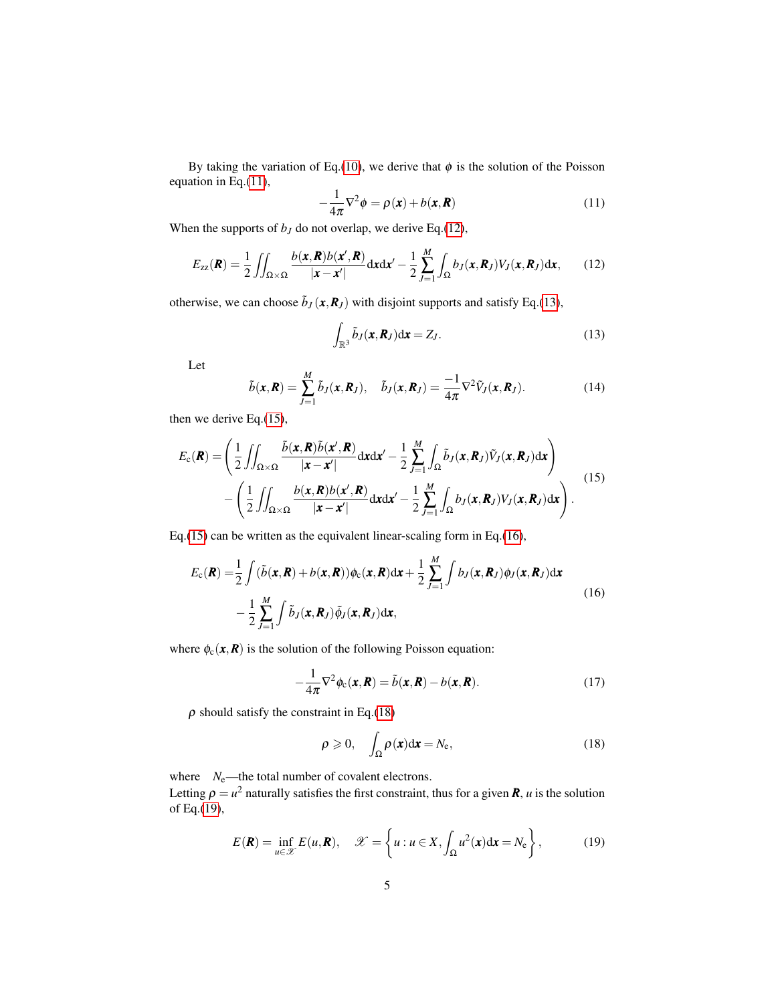By taking the variation of Eq.[\(10\)](#page-3-5), we derive that  $\phi$  is the solution of the Poisson equation in Eq.[\(11\)](#page-4-0),

<span id="page-4-1"></span><span id="page-4-0"></span>
$$
-\frac{1}{4\pi}\nabla^2\phi = \rho(\mathbf{x}) + b(\mathbf{x}, \mathbf{R})\tag{11}
$$

When the supports of  $b<sub>J</sub>$  do not overlap, we derive Eq.[\(12\)](#page-4-1),

$$
E_{zz}(\boldsymbol{R}) = \frac{1}{2} \iint_{\Omega \times \Omega} \frac{b(\boldsymbol{x}, \boldsymbol{R}) b(\boldsymbol{x}', \boldsymbol{R})}{|\boldsymbol{x} - \boldsymbol{x}'|} d\boldsymbol{x} d\boldsymbol{x}' - \frac{1}{2} \sum_{J=1}^{M} \int_{\Omega} b_{J}(\boldsymbol{x}, \boldsymbol{R}_{J}) V_{J}(\boldsymbol{x}, \boldsymbol{R}_{J}) d\boldsymbol{x}, \qquad (12)
$$

otherwise, we can choose  $\tilde{b}_J(\mathbf{x}, \mathbf{R}_J)$  with disjoint supports and satisfy Eq.[\(13\)](#page-4-2),

<span id="page-4-2"></span>
$$
\int_{\mathbb{R}^3} \tilde{b}_J(\mathbf{x}, \mathbf{R}_J) \mathrm{d}\mathbf{x} = Z_J.
$$
\n(13)

Let

<span id="page-4-3"></span>
$$
\tilde{b}(\mathbf{x}, \mathbf{R}) = \sum_{J=1}^{M} \tilde{b}_J(\mathbf{x}, \mathbf{R}_J), \quad \tilde{b}_J(\mathbf{x}, \mathbf{R}_J) = \frac{-1}{4\pi} \nabla^2 \tilde{V}_J(\mathbf{x}, \mathbf{R}_J).
$$
\n(14)

then we derive Eq.[\(15\)](#page-4-3),

$$
E_{c}(\boldsymbol{R}) = \left(\frac{1}{2}\iint_{\Omega\times\Omega} \frac{\tilde{b}(\boldsymbol{x},\boldsymbol{R})\tilde{b}(\boldsymbol{x}',\boldsymbol{R})}{|\boldsymbol{x}-\boldsymbol{x}'|} d\boldsymbol{x} d\boldsymbol{x}' - \frac{1}{2}\sum_{J=1}^{M}\int_{\Omega} \tilde{b}_{J}(\boldsymbol{x},\boldsymbol{R}_{J})\tilde{V}_{J}(\boldsymbol{x},\boldsymbol{R}_{J}) d\boldsymbol{x}\right) - \left(\frac{1}{2}\iint_{\Omega\times\Omega} \frac{b(\boldsymbol{x},\boldsymbol{R})b(\boldsymbol{x}',\boldsymbol{R})}{|\boldsymbol{x}-\boldsymbol{x}'|} d\boldsymbol{x} d\boldsymbol{x}' - \frac{1}{2}\sum_{J=1}^{M}\int_{\Omega} b_{J}(\boldsymbol{x},\boldsymbol{R}_{J})V_{J}(\boldsymbol{x},\boldsymbol{R}_{J}) d\boldsymbol{x}\right).
$$
\n(15)

Eq.[\(15\)](#page-4-3) can be written as the equivalent linear-scaling form in Eq.[\(16\)](#page-4-4),

$$
E_{c}(\boldsymbol{R}) = \frac{1}{2} \int (\tilde{b}(\boldsymbol{x}, \boldsymbol{R}) + b(\boldsymbol{x}, \boldsymbol{R})) \phi_{c}(\boldsymbol{x}, \boldsymbol{R}) d\boldsymbol{x} + \frac{1}{2} \sum_{J=1}^{M} \int b_{J}(\boldsymbol{x}, \boldsymbol{R}_{J}) \phi_{J}(\boldsymbol{x}, \boldsymbol{R}_{J}) d\boldsymbol{x} - \frac{1}{2} \sum_{J=1}^{M} \int \tilde{b}_{J}(\boldsymbol{x}, \boldsymbol{R}_{J}) \tilde{\phi}_{J}(\boldsymbol{x}, \boldsymbol{R}_{J}) d\boldsymbol{x},
$$
\n(16)

where  $\phi_c(\mathbf{x}, \mathbf{R})$  is the solution of the following Poisson equation:

<span id="page-4-4"></span>
$$
-\frac{1}{4\pi}\nabla^2\phi_c(\mathbf{x},\mathbf{R}) = \tilde{b}(\mathbf{x},\mathbf{R}) - b(\mathbf{x},\mathbf{R}).
$$
 (17)

 $\rho$  should satisfy the constraint in Eq.[\(18\)](#page-4-5)

<span id="page-4-7"></span><span id="page-4-5"></span>
$$
\rho \geqslant 0, \quad \int_{\Omega} \rho(\mathbf{x}) d\mathbf{x} = N_{\rm e}, \tag{18}
$$

where  $N_e$ —the total number of covalent electrons.

Letting  $\rho = u^2$  naturally satisfies the first constraint, thus for a given  $\bm{R}$ ,  $u$  is the solution of Eq.[\(19\)](#page-4-6),

<span id="page-4-6"></span>
$$
E(\mathbf{R}) = \inf_{u \in \mathcal{X}} E(u, \mathbf{R}), \quad \mathcal{X} = \left\{ u : u \in X, \int_{\Omega} u^2(\mathbf{x}) d\mathbf{x} = N_e \right\},\tag{19}
$$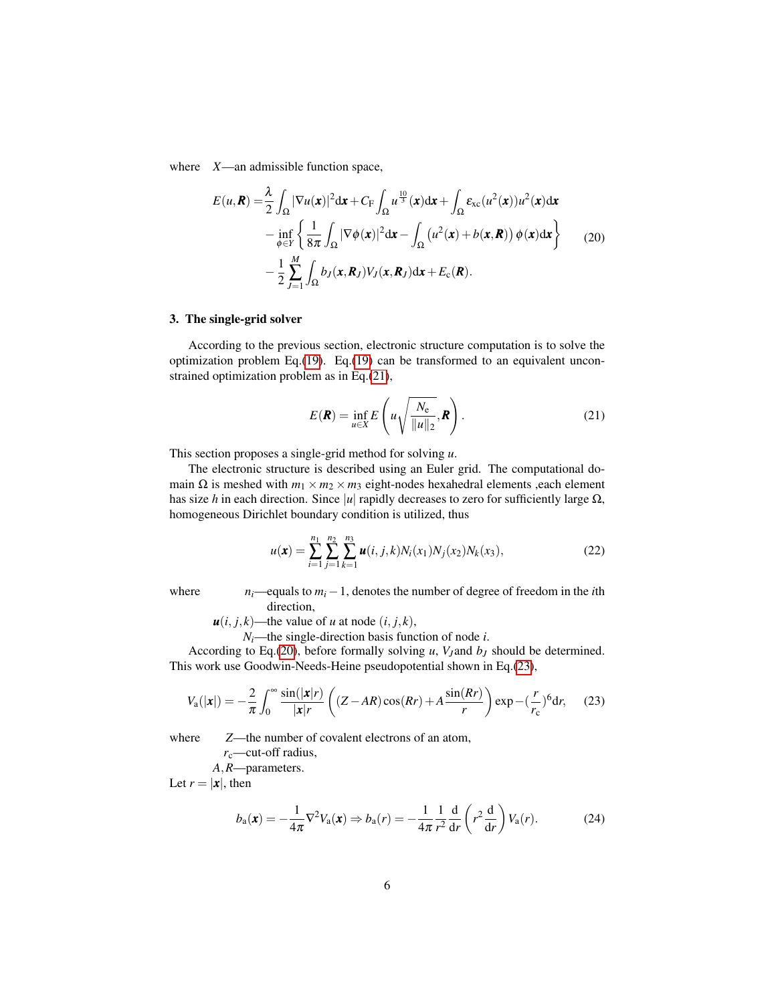<span id="page-5-1"></span>where *X*—an admissible function space,

$$
E(u, \mathbf{R}) = \frac{\lambda}{2} \int_{\Omega} |\nabla u(\mathbf{x})|^2 d\mathbf{x} + C_{\mathbf{F}} \int_{\Omega} u^{\frac{10}{3}}(\mathbf{x}) d\mathbf{x} + \int_{\Omega} \varepsilon_{\text{xc}}(u^2(\mathbf{x})) u^2(\mathbf{x}) d\mathbf{x} - \inf_{\phi \in Y} \left\{ \frac{1}{8\pi} \int_{\Omega} |\nabla \phi(\mathbf{x})|^2 d\mathbf{x} - \int_{\Omega} (u^2(\mathbf{x}) + b(\mathbf{x}, \mathbf{R})) \phi(\mathbf{x}) d\mathbf{x} \right\} \tag{20} - \frac{1}{2} \sum_{J=1}^{M} \int_{\Omega} b_J(\mathbf{x}, \mathbf{R}_J) V_J(\mathbf{x}, \mathbf{R}_J) d\mathbf{x} + E_{\mathbf{c}}(\mathbf{R}).
$$

# 3. The single-grid solver

According to the previous section, electronic structure computation is to solve the optimization problem Eq.[\(19\)](#page-4-6). Eq.[\(19\)](#page-4-6) can be transformed to an equivalent unconstrained optimization problem as in Eq.[\(21\)](#page-5-0),

<span id="page-5-3"></span><span id="page-5-0"></span>
$$
E(\mathbf{R}) = \inf_{u \in X} E\left(u\sqrt{\frac{N_e}{\|u\|_2}}, \mathbf{R}\right).
$$
 (21)

This section proposes a single-grid method for solving *u*.

The electronic structure is described using an Euler grid. The computational domain  $\Omega$  is meshed with  $m_1 \times m_2 \times m_3$  eight-nodes hexahedral elements , each element has size *h* in each direction. Since |*u*| rapidly decreases to zero for sufficiently large Ω, homogeneous Dirichlet boundary condition is utilized, thus

<span id="page-5-2"></span>
$$
u(\mathbf{x}) = \sum_{i=1}^{n_1} \sum_{j=1}^{n_2} \sum_{k=1}^{n_3} \mathbf{u}(i, j, k) N_i(x_1) N_j(x_2) N_k(x_3), \tag{22}
$$

where  $n_i$ —equals to  $m_i - 1$ , denotes the number of degree of freedom in the *i*th direction,

 $u(i, j, k)$ —the value of *u* at node  $(i, j, k)$ ,

 $N_i$ —the single-direction basis function of node *i*.

According to Eq.[\(20\)](#page-5-1), before formally solving  $u$ ,  $V_J$  and  $b_J$  should be determined. This work use Goodwin-Needs-Heine pseudopotential shown in Eq.[\(23\)](#page-5-2),

$$
V_{\rm a}(|\mathbf{x}|) = -\frac{2}{\pi} \int_0^\infty \frac{\sin(|\mathbf{x}|r)}{|\mathbf{x}|r} \left( (Z - AR)\cos(Rr) + A\frac{\sin(Rr)}{r} \right) \exp\left(-\left(\frac{r}{r_{\rm c}}\right)^6 \mathrm{d}r, \tag{23}
$$

where  $Z$ —the number of covalent electrons of an atom,

*r*<sub>c</sub>—cut-off radius,

*A*,*R*—parameters.

Let  $r = |\mathbf{x}|$ , then

<span id="page-5-4"></span>
$$
b_{\mathbf{a}}(\mathbf{x}) = -\frac{1}{4\pi} \nabla^2 V_{\mathbf{a}}(\mathbf{x}) \Rightarrow b_{\mathbf{a}}(r) = -\frac{1}{4\pi} \frac{1}{r^2} \frac{\mathrm{d}}{\mathrm{d}r} \left( r^2 \frac{\mathrm{d}}{\mathrm{d}r} \right) V_{\mathbf{a}}(r). \tag{24}
$$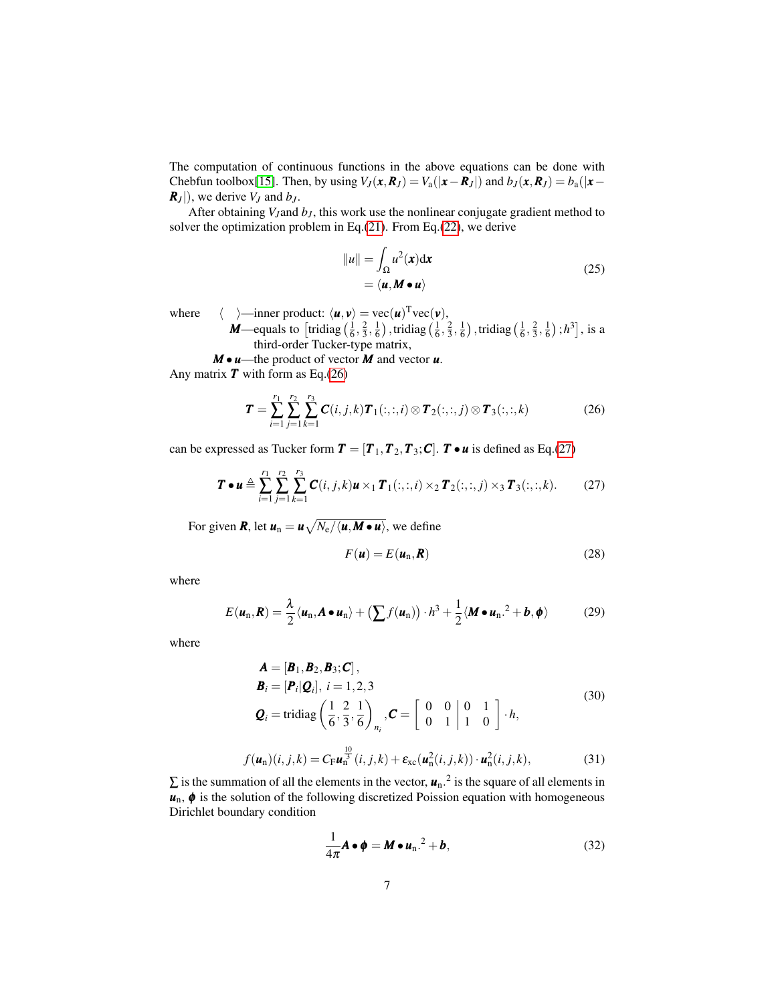The computation of continuous functions in the above equations can be done with Chebfun toolbox[\[15\]](#page-21-4). Then, by using  $V_J(\mathbf{x}, \mathbf{R}_J) = V_a(|\mathbf{x} - \mathbf{R}_J|)$  and  $b_J(\mathbf{x}, \mathbf{R}_J) = b_a(|\mathbf{x} - \mathbf{R}_J|)$  $R_J$ ), we derive  $V_J$  and  $b_J$ .

After obtaining *V<sup>J</sup>* and *b<sup>J</sup>* , this work use the nonlinear conjugate gradient method to solver the optimization problem in Eq.[\(21\)](#page-5-0). From Eq.[\(22\)](#page-5-3), we derive

$$
||u|| = \int_{\Omega} u^2(\mathbf{x}) d\mathbf{x}
$$
  
=  $\langle \mathbf{u}, \mathbf{M} \bullet \mathbf{u} \rangle$  (25)

where  $\langle \rangle$  = inner product:  $\langle \mathbf{u}, \mathbf{v} \rangle = \text{vec}(\mathbf{u})^T \text{vec}(\mathbf{v}),$ 

*M*—equals to  $\left[$  tridiag  $\left(\frac{1}{6}, \frac{2}{3}, \frac{1}{6}\right)$  , tridiag  $\left(\frac{1}{6}, \frac{2}{3}, \frac{1}{6}\right)$  , tridiag  $\left(\frac{1}{6}, \frac{2}{3}, \frac{1}{6}\right)$  ; *h*<sup>3</sup>], is a third-order Tucker-type matrix,

*M* • *u*—the product of vector *M* and vector *u*. Any matrix  $\boldsymbol{T}$  with form as Eq.[\(26\)](#page-6-0)

<span id="page-6-0"></span>
$$
\boldsymbol{T} = \sum_{i=1}^{r_1} \sum_{j=1}^{r_2} \sum_{k=1}^{r_3} \boldsymbol{C}(i, j, k) \boldsymbol{T}_1(:, :, i) \otimes \boldsymbol{T}_2(:, :, j) \otimes \boldsymbol{T}_3(:, :, k)
$$
(26)

can be expressed as Tucker form  $T = [T_1, T_2, T_3; C]$ .  $T \bullet u$  is defined as Eq.[\(27\)](#page-6-1)

$$
\boldsymbol{T} \bullet \boldsymbol{u} \triangleq \sum_{i=1}^{r_1} \sum_{j=1}^{r_2} \sum_{k=1}^{r_3} \boldsymbol{C}(i, j, k) \boldsymbol{u} \times_1 \boldsymbol{T}_1(:, :, i) \times_2 \boldsymbol{T}_2(:, :, j) \times_3 \boldsymbol{T}_3(:, :, k).
$$
 (27)

For given  $\bm{R}$ , let  $\bm{u}_{\text{n}} = \bm{u}\sqrt{N_{\text{e}}/\langle\bm{u},\bm{M}\bullet\bm{u}\rangle}$ , we define

<span id="page-6-3"></span><span id="page-6-1"></span>
$$
F(\mathbf{u}) = E(\mathbf{u}_n, \mathbf{R})
$$
\n(28)

<span id="page-6-4"></span>where

$$
E(\boldsymbol{u}_n, \boldsymbol{R}) = \frac{\lambda}{2} \langle \boldsymbol{u}_n, \boldsymbol{A} \bullet \boldsymbol{u}_n \rangle + \left( \sum f(\boldsymbol{u}_n) \right) \cdot h^3 + \frac{1}{2} \langle \boldsymbol{M} \bullet \boldsymbol{u}_n \cdot h^2 + \boldsymbol{b}, \boldsymbol{\phi} \rangle \tag{29}
$$

<span id="page-6-5"></span>where

$$
\mathbf{A} = [\mathbf{B}_1, \mathbf{B}_2, \mathbf{B}_3; \mathbf{C}],
$$
\n
$$
\mathbf{B}_i = [\mathbf{P}_i | \mathbf{Q}_i], i = 1, 2, 3
$$
\n
$$
\mathbf{Q}_i = \text{tridiag}\left(\frac{1}{6}, \frac{2}{3}, \frac{1}{6}\right)_{n_i}, \mathbf{C} = \begin{bmatrix} 0 & 0 & 0 & 1 \\ 0 & 1 & 1 & 0 \end{bmatrix} \cdot h,
$$
\n(30)

$$
f(\boldsymbol{u}_{\rm n})(i,j,k) = C_{\rm F}\boldsymbol{u}_{\rm n}^{\frac{10}{3}}(i,j,k) + \varepsilon_{\rm xc}(\boldsymbol{u}_{\rm n}^2(i,j,k)) \cdot \boldsymbol{u}_{\rm n}^2(i,j,k), \qquad (31)
$$

 $\sum$  is the summation of all the elements in the vector,  $\mathbf{u}_n$ <sup>2</sup> is the square of all elements in  $u_n$ ,  $\phi$  is the solution of the following discretized Poission equation with homogeneous Dirichlet boundary condition

<span id="page-6-2"></span>
$$
\frac{1}{4\pi}A \bullet \phi = M \bullet u_n^{2} + b,
$$
\n(32)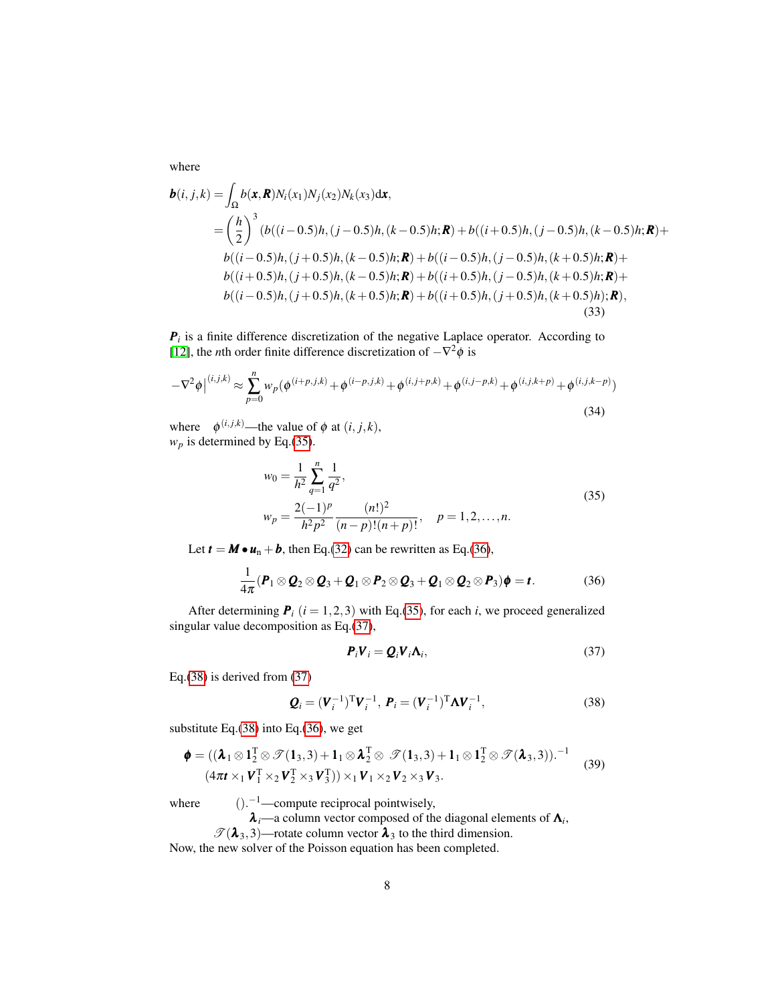<span id="page-7-4"></span>where

$$
\mathbf{b}(i, j, k) = \int_{\Omega} b(\mathbf{x}, \mathbf{R}) N_i(x_1) N_j(x_2) N_k(x_3) \, \mathrm{d}\mathbf{x},
$$
\n
$$
= \left(\frac{h}{2}\right)^3 (b((i-0.5)h, (j-0.5)h, (k-0.5)h; \mathbf{R}) + b((i+0.5)h, (j-0.5)h, (k-0.5)h; \mathbf{R}) +
$$
\n
$$
b((i-0.5)h, (j+0.5)h, (k-0.5)h; \mathbf{R}) + b((i-0.5)h, (j-0.5)h, (k+0.5)h; \mathbf{R}) +
$$
\n
$$
b((i+0.5)h, (j+0.5)h, (k-0.5)h; \mathbf{R}) + b((i+0.5)h, (j-0.5)h, (k+0.5)h; \mathbf{R}) +
$$
\n
$$
b((i-0.5)h, (j+0.5)h, (k+0.5)h; \mathbf{R}) + b((i+0.5)h, (j+0.5)h, (k+0.5)h); \mathbf{R}),
$$
\n(33)

 $P_i$  is a finite difference discretization of the negative Laplace operator. According to [\[12\]](#page-21-1), the *n*th order finite difference discretization of  $-\nabla^2 \phi$  is

$$
-\nabla^2 \phi\Big|^{(i,j,k)} \approx \sum_{p=0}^n w_p (\phi^{(i+p,j,k)} + \phi^{(i-p,j,k)} + \phi^{(i,j+p,k)} + \phi^{(i,j-p,k)} + \phi^{(i,j,k+p)} + \phi^{(i,j,k-p)})
$$
\n(34)

where  $\phi^{(i,j,k)}$ —the value of  $\phi$  at  $(i, j, k)$ ,  $w_p$  is determined by Eq.[\(35\)](#page-7-0).

<span id="page-7-0"></span>
$$
w_0 = \frac{1}{h^2} \sum_{q=1}^n \frac{1}{q^2},
$$
  
\n
$$
w_p = \frac{2(-1)^p}{h^2 p^2} \frac{(n!)^2}{(n-p)!(n+p)!}, \quad p = 1, 2, ..., n.
$$
 (35)

Let  $t = M \cdot u_n + b$ , then Eq.[\(32\)](#page-6-2) can be rewritten as Eq.[\(36\)](#page-7-1),

$$
\frac{1}{4\pi}(\boldsymbol{P}_1 \otimes \boldsymbol{Q}_2 \otimes \boldsymbol{Q}_3 + \boldsymbol{Q}_1 \otimes \boldsymbol{P}_2 \otimes \boldsymbol{Q}_3 + \boldsymbol{Q}_1 \otimes \boldsymbol{Q}_2 \otimes \boldsymbol{P}_3)\boldsymbol{\phi} = t. \tag{36}
$$

After determining  $P_i$  ( $i = 1, 2, 3$ ) with Eq.[\(35\)](#page-7-0), for each *i*, we proceed generalized singular value decomposition as Eq.[\(37\)](#page-7-2),

<span id="page-7-5"></span><span id="page-7-3"></span><span id="page-7-2"></span><span id="page-7-1"></span>
$$
\boldsymbol{P}_i \boldsymbol{V}_i = \boldsymbol{Q}_i \boldsymbol{V}_i \boldsymbol{\Lambda}_i, \tag{37}
$$

Eq.[\(38\)](#page-7-3) is derived from [\(37\)](#page-7-2)

$$
\mathbf{Q}_i = (\mathbf{V}_i^{-1})^{\mathrm{T}} \mathbf{V}_i^{-1}, \ \mathbf{P}_i = (\mathbf{V}_i^{-1})^{\mathrm{T}} \mathbf{\Lambda} \mathbf{V}_i^{-1}, \tag{38}
$$

substitute Eq.[\(38\)](#page-7-3) into Eq.[\(36\)](#page-7-1), we get

$$
\boldsymbol{\phi} = ((\boldsymbol{\lambda}_1 \otimes \mathbf{1}_2^T \otimes \mathcal{T}(\mathbf{1}_3,3) + \mathbf{1}_1 \otimes \boldsymbol{\lambda}_2^T \otimes \mathcal{T}(\mathbf{1}_3,3) + \mathbf{1}_1 \otimes \mathbf{1}_2^T \otimes \mathcal{T}(\mathbf{\lambda}_3,3))^{-1}
$$
  

$$
(4\pi \mathbf{t} \times_1 \mathbf{V}_1^T \times_2 \mathbf{V}_2^T \times_3 \mathbf{V}_3^T)) \times_1 \mathbf{V}_1 \times_2 \mathbf{V}_2 \times_3 \mathbf{V}_3.
$$
 (39)

where

 $()$ <sup>-1</sup>—compute reciprocal pointwisely,

 $\boldsymbol{\lambda}_i$ —a column vector composed of the diagonal elements of  $\boldsymbol{\Lambda}_i$ ,

 $\mathscr{T}(\lambda_3,3)$ —rotate column vector  $\lambda_3$  to the third dimension.

Now, the new solver of the Poisson equation has been completed.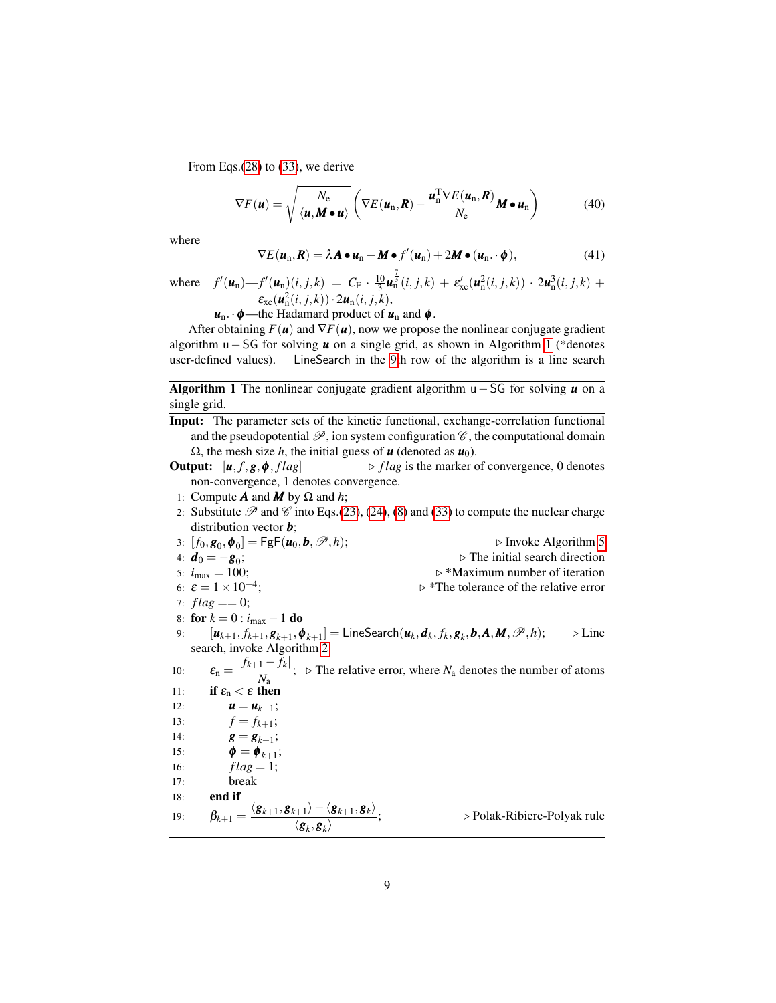From Eqs.[\(28\)](#page-6-3) to [\(33\)](#page-7-4), we derive

$$
\nabla F(\boldsymbol{u}) = \sqrt{\frac{N_{\rm e}}{\langle \boldsymbol{u}, \boldsymbol{M} \bullet \boldsymbol{u} \rangle}} \left( \nabla E(\boldsymbol{u}_{\rm n}, \boldsymbol{R}) - \frac{\boldsymbol{u}_{\rm n}^{\rm T} \nabla E(\boldsymbol{u}_{\rm n}, \boldsymbol{R})}{N_{\rm e}} \boldsymbol{M} \bullet \boldsymbol{u}_{\rm n} \right)
$$
(40)

<span id="page-8-1"></span>where

$$
\nabla E(\boldsymbol{u}_n, \boldsymbol{R}) = \lambda \boldsymbol{A} \bullet \boldsymbol{u}_n + \boldsymbol{M} \bullet f'(\boldsymbol{u}_n) + 2 \boldsymbol{M} \bullet (\boldsymbol{u}_n \cdot \boldsymbol{\phi}), \tag{41}
$$

where  $f'(\mathbf{u}_n) - f'(\mathbf{u}_n)(i, j, k) = C_F \cdot \frac{10}{3} \mathbf{u}_n^{\frac{7}{3}}(i, j, k) + \varepsilon_{\text{xc}}'(\mathbf{u}_n^2(i, j, k)) \cdot 2 \mathbf{u}_n^3(i, j, k) +$  $\varepsilon_{\text{xc}}(\boldsymbol{u}_{\text{n}}^2(i,j,k)) \cdot 2\boldsymbol{u}_{\text{n}}(i,j,k),$ 

$$
u_n \cdot \phi
$$
—the Hadamard product of  $u_n$  and  $\phi$ .

After obtaining  $F(\mathbf{u})$  and  $\nabla F(\mathbf{u})$ , now we propose the nonlinear conjugate gradient algorithm u−SG for solving *u* on a single grid, as shown in Algorithm [1](#page-8-0) (\*denotes user-defined values). LineSearch in the [9t](#page-8-0)h row of the algorithm is a line search

Algorithm 1 The nonlinear conjugate gradient algorithm u−SG for solving *u* on a single grid.

- <span id="page-8-0"></span>Input: The parameter sets of the kinetic functional, exchange-correlation functional and the pseudopotential  $\mathcal{P}$ , ion system configuration  $\mathcal{C}$ , the computational domain  $Ω$ , the mesh size *h*, the initial guess of *u* (denoted as *u*<sub>0</sub>).
- **Output:**  $[\mathbf{u}, f, \mathbf{g}, \mathbf{\phi}, flag]$   $\triangleright flag$  is the marker of convergence, 0 denotes non-convergence, 1 denotes convergence.
- 1: Compute **A** and **M** by  $\Omega$  and *h*;
- 2: Substitute  $\mathscr P$  and  $\mathscr C$  into Eqs.[\(23\)](#page-5-2), [\(24\)](#page-5-4), [\(8\)](#page-3-2) and [\(33\)](#page-7-4) to compute the nuclear charge distribution vector *b*;
- 3:  $[f_0, g_0, \phi_0] = \mathsf{FgF}(u_0, b, \mathcal{P}, h);$  <br>  $\triangleright$  Invoke Algorithm [5](#page-12-0) 4:  $d_0 = -g_0;$ <br>5:  $i_{\text{max}} = 100;$  $\triangleright$  The initial search direction  $\triangleright$  \*Maximum number of iteration 6:  $\varepsilon = 1 \times 10^{-4}$ ;  $\triangleright$  \*The tolerance of the relative error 7:  $flag == 0;$ 8: **for**  $k = 0$  :  $i_{\text{max}} - 1$  **do**  $[\mathbf{u}_{k+1}, f_{k+1}, \mathbf{g}_{k+1}, \mathbf{\phi}_{k+1}] =$  LineSearch $(\mathbf{u}_k, \mathbf{d}_k, f_k, \mathbf{g}_k, \mathbf{b}, \mathbf{A}, \mathbf{M}, \mathscr{P}, h);$  .  $\triangleright$  Line search, invoke Algorithm [2](#page-9-0) 10:  $\epsilon_{\rm n} = \frac{|f_{k+1} - f_k|}{N}$  $\frac{1}{N_a}$ ;  $\triangleright$  The relative error, where  $N_a$  denotes the number of atoms 11: if  $\varepsilon_n < \varepsilon$  then 12:  $u = u_{k+1};$ 13:  $f = f_{k+1};$ 14:  $g = g_{k+1}$ ; 15:  $\phi = \phi_{k+1}$ ; 16:  $flag = 1;$ 17: break 18: end if 19:  $\beta_{k+1} = \frac{\langle \mathbf{g}_{k+1}, \mathbf{g}_{k+1} \rangle - \langle \mathbf{g}_{k+1}, \mathbf{g}_k \rangle}{\langle \mathbf{g}_{k+1}, \mathbf{g}_{k+1} \rangle}$  $\langle \boldsymbol{g}_k, \boldsymbol{g}_k \rangle$ ; . Polak-Ribiere-Polyak rule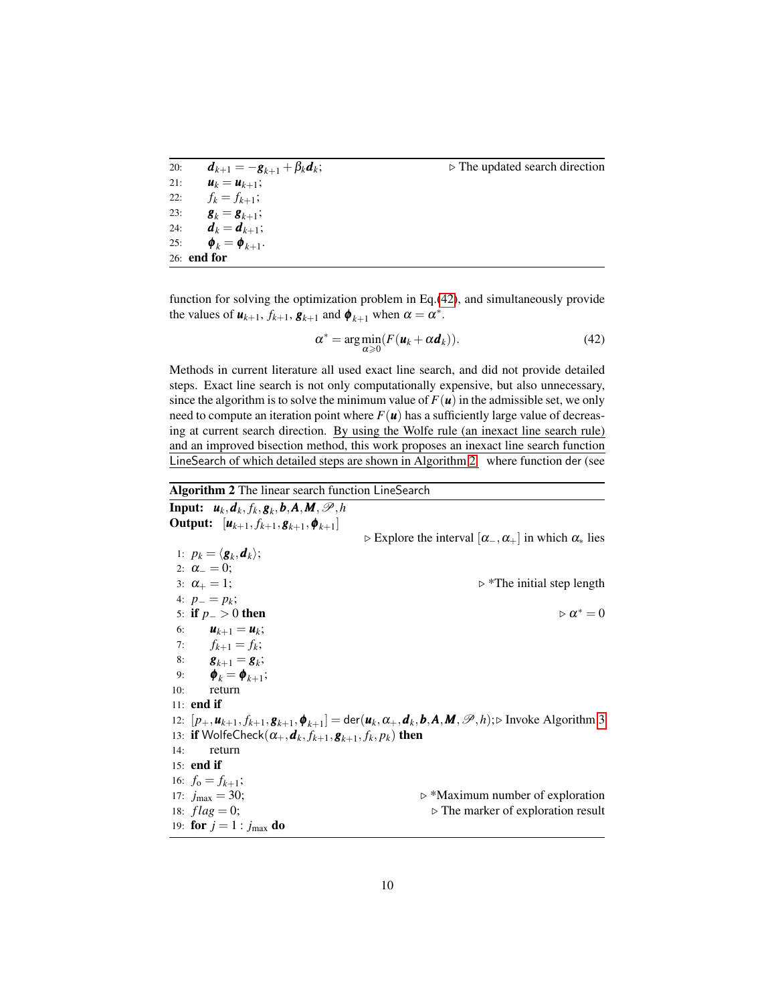| 20: | $d_{k+1} = -g_{k+1} + \beta_k d_k;$              | $\triangleright$ The updated search direction |
|-----|--------------------------------------------------|-----------------------------------------------|
| 21: | $u_k = u_{k+1};$                                 |                                               |
| 22: | $f_k = f_{k+1};$                                 |                                               |
| 23: | $\boldsymbol{g}_k = \boldsymbol{g}_{k+1};$       |                                               |
| 24: | $d_k = d_{k+1};$                                 |                                               |
| 25: | $\boldsymbol{\phi}_k = \boldsymbol{\phi}_{k+1}.$ |                                               |
|     | $26:$ end for                                    |                                               |

function for solving the optimization problem in Eq.[\(42\)](#page-9-1), and simultaneously provide the values of  $\mathbf{u}_{k+1}$ ,  $f_{k+1}$ ,  $\mathbf{g}_{k+1}$  and  $\mathbf{\phi}_{k+1}$  when  $\alpha = \alpha^*$ .

<span id="page-9-1"></span>
$$
\alpha^* = \arg\min_{\alpha \ge 0} (F(\mathbf{u}_k + \alpha \mathbf{d}_k)).
$$
\n(42)

Methods in current literature all used exact line search, and did not provide detailed steps. Exact line search is not only computationally expensive, but also unnecessary, since the algorithm is to solve the minimum value of  $F(\mathbf{u})$  in the admissible set, we only need to compute an iteration point where  $F(\mathbf{u})$  has a sufficiently large value of decreasing at current search direction. By using the Wolfe rule (an inexact line search rule) and an improved bisection method, this work proposes an inexact line search function LineSearch of which detailed steps are shown in Algorithm [2.](#page-9-0) where function der (see

<span id="page-9-0"></span>Algorithm 2 The linear search function LineSearch Input:  $u_k, d_k, f_k, g_k, b, A, M, P, h$ Output:  $[u_{k+1}, f_{k+1}, g_{k+1}, \phi_{k+1}]$  $\triangleright$  Explore the interval  $[\alpha_-, \alpha_+]$  in which  $\alpha_*$  lies 1:  $p_k = \langle \boldsymbol{g}_k, \boldsymbol{d}_k \rangle;$ 2:  $\alpha_{-}=0;$ 3:  $\alpha_+ = 1$ ;  $\triangleright^*$ The initial step length 4:  $p_{-} = p_{k}$ ; 5: if  $p_$  > 0 then  $\triangleright \alpha^* = 0$ 6:  $u_{k+1} = u_k;$ 7:  $f_{k+1} = f_k;$ 8:  $g_{k+1} = g_k;$ 9:  $\bm{\phi}_k = \bm{\phi}_{k+1};$ 10: return 11: end if 12:  $[p_+, u_{k+1}, f_{k+1}, g_{k+1}, \phi_{k+1}] = \text{der}(\boldsymbol{u}_k, \alpha_+, \boldsymbol{d}_k, \boldsymbol{b}, \boldsymbol{A}, \boldsymbol{M}, \mathscr{P}, h); \triangleright \text{ Invoke Algorithm 3}$  $[p_+, u_{k+1}, f_{k+1}, g_{k+1}, \phi_{k+1}] = \text{der}(\boldsymbol{u}_k, \alpha_+, \boldsymbol{d}_k, \boldsymbol{b}, \boldsymbol{A}, \boldsymbol{M}, \mathscr{P}, h); \triangleright \text{ Invoke Algorithm 3}$  $[p_+, u_{k+1}, f_{k+1}, g_{k+1}, \phi_{k+1}] = \text{der}(\boldsymbol{u}_k, \alpha_+, \boldsymbol{d}_k, \boldsymbol{b}, \boldsymbol{A}, \boldsymbol{M}, \mathscr{P}, h); \triangleright \text{ Invoke Algorithm 3}$ 13: **if** WolfeCheck $(\alpha_+, \boldsymbol{d}_k, f_{k+1}, \boldsymbol{g}_{k+1}, f_k, p_k)$  then 14: return 15: end if 16:  $f_0 = f_{k+1}$ ; 17:  $j_{\text{max}} = 30$ ;  $\triangleright$  \*Maximum number of exploration 18:  $flag = 0$ ;  $\triangleright$  The marker of exploration result 19: **for**  $j = 1 : j_{\text{max}}$  **do**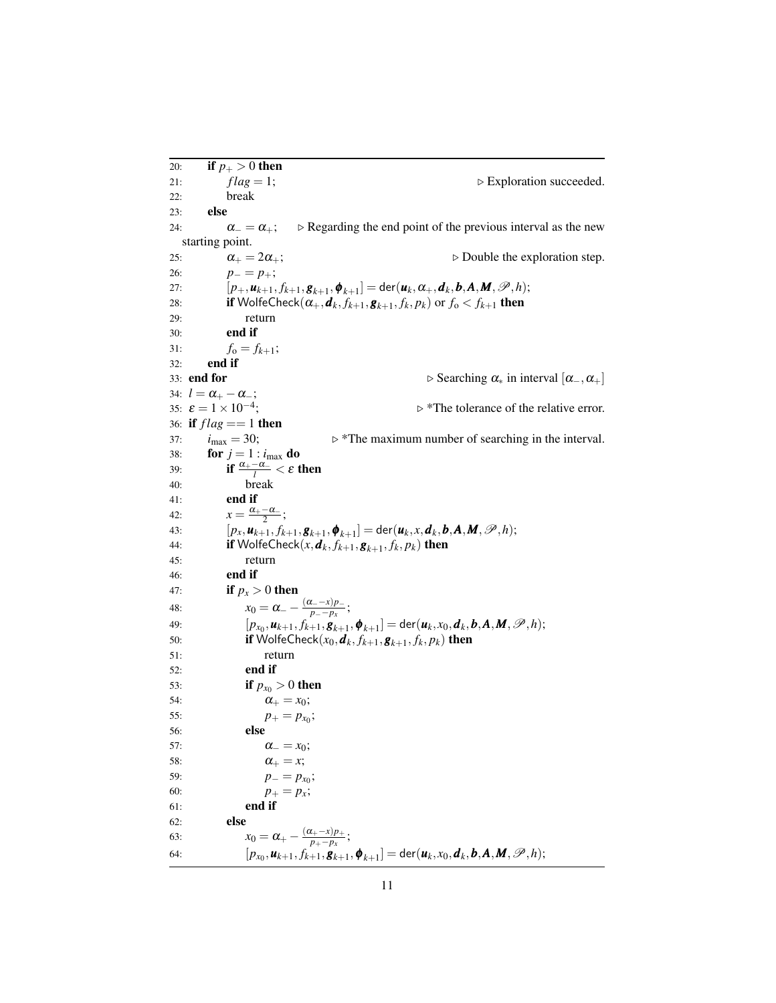20: **if**  $p_+ > 0$  then<br>21:  $flag = 1$ ; 21:  $flag = 1$ ;  $\triangleright$  Exploration succeeded. 22: break 23: else 24:  $\alpha_{-} = \alpha_{+}$ ;  $\triangleright$  Regarding the end point of the previous interval as the new starting point. 25:  $\alpha_+ = 2\alpha_+$ ;  $\qquad \qquad \triangleright$  Double the exploration step. 26:  $p_-=p_+;$ 27:  $[p_+, \mathbf{u}_{k+1}, f_{k+1}, \mathbf{g}_{k+1}, \mathbf{\phi}_{k+1}] = \text{der}(\mathbf{u}_k, \alpha_+, \mathbf{d}_k, \mathbf{b}, \mathbf{A}, \mathbf{M}, \mathcal{P}, h);$ 28: **if** WolfeCheck $(\alpha_+, \boldsymbol{d}_k, f_{k+1}, \boldsymbol{g}_{k+1}, f_k, p_k)$  or  $f_o < f_{k+1}$  then 29: return 30: end if 31:  $f_0 = f_{k+1};$ 32: end if 33: end for  $\triangleright$  Searching  $\alpha_*$  in interval  $[\alpha_-, \alpha_+]$ 34:  $l = \alpha_{+} - \alpha_{-}$ ; 35:  $\varepsilon = 1 \times 10^{-4}$ ;  $\triangleright$  \*The tolerance of the relative error. 36: if  $flag == 1$  then 37:  $i_{\text{max}} = 30$ ;  $\triangleright$  \*The maximum number of searching in the interval. 38: **for**  $j = 1 : i_{max}$  **do** 39: **if**  $\frac{\alpha_+ - \alpha_-}{l} < \varepsilon$  then 40: break 41: end if 42:  $x = \frac{\alpha_+ - \alpha_-}{2};$ 43:  $[p_x, u_{k+1}, f_{k+1}, g_{k+1}, \phi_{k+1}] = \text{der}(\mathbf{u}_k, x, \mathbf{d}_k, \mathbf{b}, \mathbf{A}, \mathbf{M}, \mathcal{P}, h);$ 44: **if** WolfeCheck $(x, \boldsymbol{d}_k, f_{k+1}, \boldsymbol{g}_{k+1}, f_k, p_k)$  then 45: return 46: end if 47: **if**  $p_x > 0$  then 48:  $x_0 = \alpha_- - \frac{(\alpha_- - x)p_-}{p_- - p_x}$ *p*<sup>−−*x*</sup>)*p*<sup>−</sup>; 49:  $[p_{x_0}, \mathbf{u}_{k+1}, f_{k+1}, \mathbf{g}_{k+1}, \mathbf{\phi}_{k+1}] = \text{der}(\mathbf{u}_k, x_0, \mathbf{d}_k, \mathbf{b}, \mathbf{A}, \mathbf{M}, \mathcal{P}, h);$ 50: **if** WolfeCheck $(x_0, \boldsymbol{d}_k, f_{k+1}, \boldsymbol{g}_{k+1}, f_k, p_k)$  then 51: return 52: end if 53: **if**  $p_{x_0} > 0$  then 54:  $\alpha_+ = x_0;$ 55:  $p_+ = p_{x_0};$ 56: else 57:  $\alpha_{-} = x_0;$ 58:  $\alpha_{+} = x;$ 59:  $p_{-} = p_{x_0};$ 60:  $p_+ = p_x;$ 61: end if 62: else 63:  $x_0 = \alpha_+ - \frac{(\alpha_+ - x)p_+}{p_+ - p_r}$  $\frac{p_+ - x}{p_+ - p_x};$ 64:  $[p_{x_0}, \mathbf{u}_{k+1}, f_{k+1}, \mathbf{g}_{k+1}, \mathbf{\phi}_{k+1}] = \text{der}(\mathbf{u}_k, x_0, \mathbf{d}_k, \mathbf{b}, \mathbf{A}, \mathbf{M}, \mathcal{P}, h);$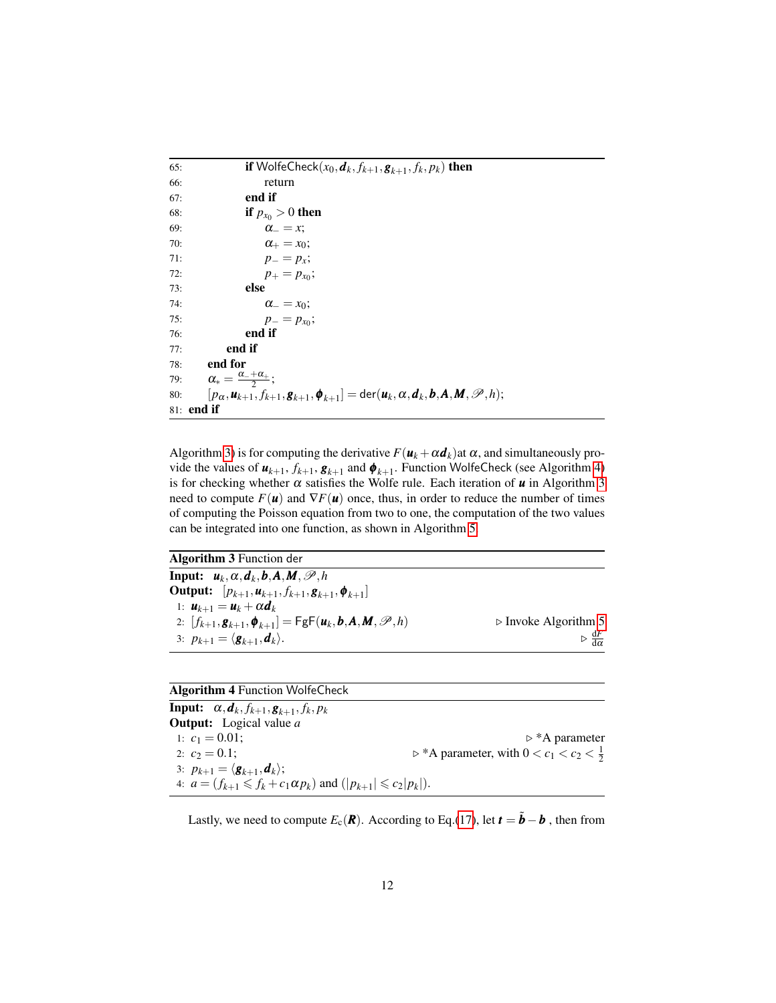```
65: if WolfeCheck(x_0, \boldsymbol{d}_k, f_{k+1}, \boldsymbol{g}_{k+1}, f_k, p_k) then
66: return
67: end if
68: if p_{x_0} > 0 then
69: \alpha_{-} = x;70: \alpha_+ = x_0;71: p_{-} = p_{x};
72: p_+ = p_{x_0};73: else
74: \alpha_{-} = x_0;75: p_{-} = p_{x_0};76: end if
77: end if
78: end for
79: \alpha_* = \frac{\alpha_{-} + \alpha_{+}}{2};80: [p_\alpha, \mathbf{u}_{k+1}, f_{k+1}, \mathbf{g}_{k+1}, \mathbf{\phi}_{k+1}] = \text{der}(\mathbf{u}_k, \alpha, \mathbf{d}_k, \mathbf{b}, \mathbf{A}, \mathbf{M}, \mathcal{P}, h);81: end if
```
Algorithm [3\)](#page-11-0) is for computing the derivative  $F(\mathbf{u}_k + \alpha \mathbf{d}_k)$ at  $\alpha$ , and simultaneously provide the values of  $u_{k+1}$ ,  $f_{k+1}$ ,  $g_{k+1}$  and  $\phi_{k+1}$ . Function WolfeCheck (see Algorithm [4\)](#page-11-1) is for checking whether  $\alpha$  satisfies the Wolfe rule. Each iteration of  $\boldsymbol{u}$  in Algorithm [3](#page-11-0) need to compute  $F(\mathbf{u})$  and  $\nabla F(\mathbf{u})$  once, thus, in order to reduce the number of times of computing the Poisson equation from two to one, the computation of the two values can be integrated into one function, as shown in Algorithm [5.](#page-12-0)

<span id="page-11-0"></span>

| <b>Algorithm 3 Function der</b>                                                                                      |                                                       |
|----------------------------------------------------------------------------------------------------------------------|-------------------------------------------------------|
| Input: $u_k$ , $\alpha$ , $d_k$ , $b$ , $A$ , $M$ , $\mathscr{P}$ , $h$                                              |                                                       |
| <b>Output:</b> $[p_{k+1}, u_{k+1}, f_{k+1}, g_{k+1}, \phi_{k+1}]$                                                    |                                                       |
| 1: $u_{k+1} = u_k + \alpha d_k$                                                                                      |                                                       |
| 2: $[f_{k+1}, g_{k+1}, \phi_{k+1}] = \mathsf{FgF}(\mathbf{u}_k, \mathbf{b}, \mathbf{A}, \mathbf{M}, \mathcal{P}, h)$ | $\triangleright$ Invoke Algorithm 5                   |
| 3: $p_{k+1} = \langle \boldsymbol{g}_{k+1}, \boldsymbol{d}_k \rangle$ .                                              | $\triangleright \frac{\mathrm{d}F}{\mathrm{d}\alpha}$ |

|  |  | <b>Algorithm 4 Function WolfeCheck</b> |
|--|--|----------------------------------------|
|--|--|----------------------------------------|

<span id="page-11-1"></span>Input:  $\alpha, \boldsymbol{d}_k, f_{k+1}, \boldsymbol{g}_{k+1}, f_k, p_k$ Output: Logical value *a* 1:  $c_1 = 0.01$ ;<br>
2:  $c_2 = 0.1$ ;<br>
b \*A parameter, with  $0 < c_1 < c_2 < \frac{1}{2}$ 2:  $c_2 = 0.1$ ;  $\triangleright^* A$  parameter, with  $0 < c_1 < c_2 < \frac{1}{2}$ 3:  $p_{k+1} = \langle \boldsymbol{g}_{k+1}, \boldsymbol{d}_k \rangle;$ 4:  $a = (f_{k+1} \leq f_k + c_1 \alpha p_k)$  and  $(|p_{k+1}| \leq c_2 |p_k|)$ .

Lastly, we need to compute  $E_c(\mathbf{R})$ . According to Eq.[\(17\)](#page-4-7), let  $\mathbf{t} = \tilde{\mathbf{b}} - \mathbf{b}$ , then from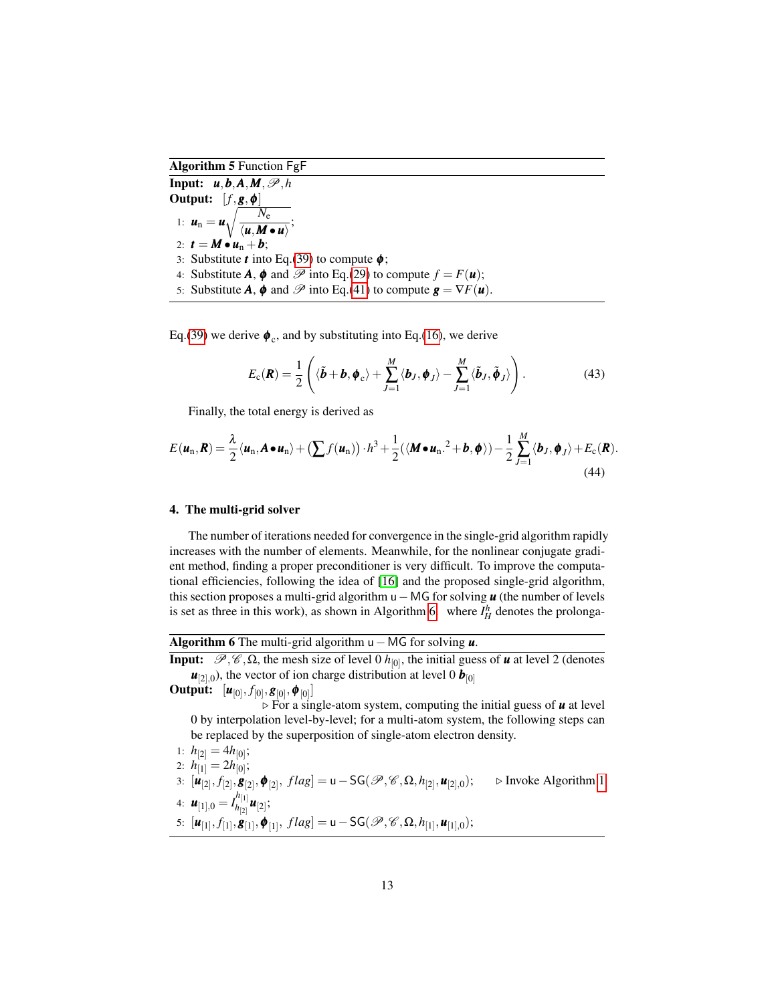Algorithm 5 Function FgF

<span id="page-12-0"></span> $\overline{\text{Input:} \quad u, b, A, M, \mathscr{P}, h}$ Output:  $[f, g, \phi]$ 1:  $u_n = u \sqrt{\frac{N_e}{nM}}$  $\frac{he}{\langle u, M \bullet u \rangle};$ 2:  $t = M \cdot u_n + b$ ; 3: Substitute *t* into Eq.[\(39\)](#page-7-5) to compute  $\phi$ ; 4: Substitute **A**,  $\phi$  and  $\mathcal{P}$  into Eq.[\(29\)](#page-6-4) to compute  $f = F(u)$ ; 5: Substitute *A*,  $\phi$  and  $\mathcal{P}$  into Eq.[\(41\)](#page-8-1) to compute  $g = \nabla F(u)$ .

Eq.[\(39\)](#page-7-5) we derive  $\phi_c$ , and by substituting into Eq.[\(16\)](#page-4-4), we derive

<span id="page-12-2"></span>
$$
E_{\rm c}(\boldsymbol{R}) = \frac{1}{2} \left( \langle \tilde{\boldsymbol{b}} + \boldsymbol{b}, \boldsymbol{\phi}_{\rm c} \rangle + \sum_{J=1}^{M} \langle \boldsymbol{b}_{J}, \boldsymbol{\phi}_{J} \rangle - \sum_{J=1}^{M} \langle \tilde{\boldsymbol{b}}_{J}, \tilde{\boldsymbol{\phi}}_{J} \rangle \right). \tag{43}
$$

Finally, the total energy is derived as

$$
E(\boldsymbol{u}_n, \boldsymbol{R}) = \frac{\lambda}{2} \langle \boldsymbol{u}_n, \boldsymbol{A} \bullet \boldsymbol{u}_n \rangle + \left( \sum f(\boldsymbol{u}_n) \right) \cdot h^3 + \frac{1}{2} (\langle \boldsymbol{M} \bullet \boldsymbol{u}_n \cdot h^2 + \boldsymbol{b}, \boldsymbol{\phi} \rangle) - \frac{1}{2} \sum_{J=1}^M \langle \boldsymbol{b}_J, \boldsymbol{\phi}_J \rangle + E_c(\boldsymbol{R}).
$$
\n(44)

# 4. The multi-grid solver

The number of iterations needed for convergence in the single-grid algorithm rapidly increases with the number of elements. Meanwhile, for the nonlinear conjugate gradient method, finding a proper preconditioner is very difficult. To improve the computational efficiencies, following the idea of [\[16\]](#page-21-5) and the proposed single-grid algorithm, this section proposes a multi-grid algorithm u−MG for solving *u* (the number of levels is set as three in this work), as shown in Algorithm [6.](#page-12-1) where  $I_H^h$  denotes the prolonga-

Algorithm 6 The multi-grid algorithm u−MG for solving *u*.

<span id="page-12-1"></span>**Input:**  $\mathcal{P}, \mathcal{C}, \Omega$ , the mesh size of level 0  $h_{[0]}$ , the initial guess of **u** at level 2 (denotes  $u_{[2],0}$ ), the vector of ion charge distribution at level 0  $b_{[0]}$ 

**Output:**  $[\bm{u}_{[0]}, f_{[0]}, \bm{g}_{[0]}, \bm{\phi}_{[0]}]$ 

 $\triangleright$  For a single-atom system, computing the initial guess of **u** at level 0 by interpolation level-by-level; for a multi-atom system, the following steps can be replaced by the superposition of single-atom electron density.

1: 
$$
h_{[2]} = 4h_{[0]}
$$
;  
\n2:  $h_{[1]} = 2h_{[0]}$ ;  
\n3:  $[u_{[2]}, f_{[2]}, g_{[2]}, \phi_{[2]}, flag] = u - SG(\mathcal{P}, \mathcal{C}, \Omega, h_{[2]}, u_{[2],0})$ ;  $\triangleright$  Invoke Algorithm 1  
\n4:  $u_{[1],0} = I_{h_{[2]}}^{h_{[1]}} u_{[2]}$ ;  
\n5:  $[u_{[1]}, f_{[1]}, g_{[1]}, \phi_{[1]}, flag] = u - SG(\mathcal{P}, \mathcal{C}, \Omega, h_{[1]}, u_{[1],0})$ ;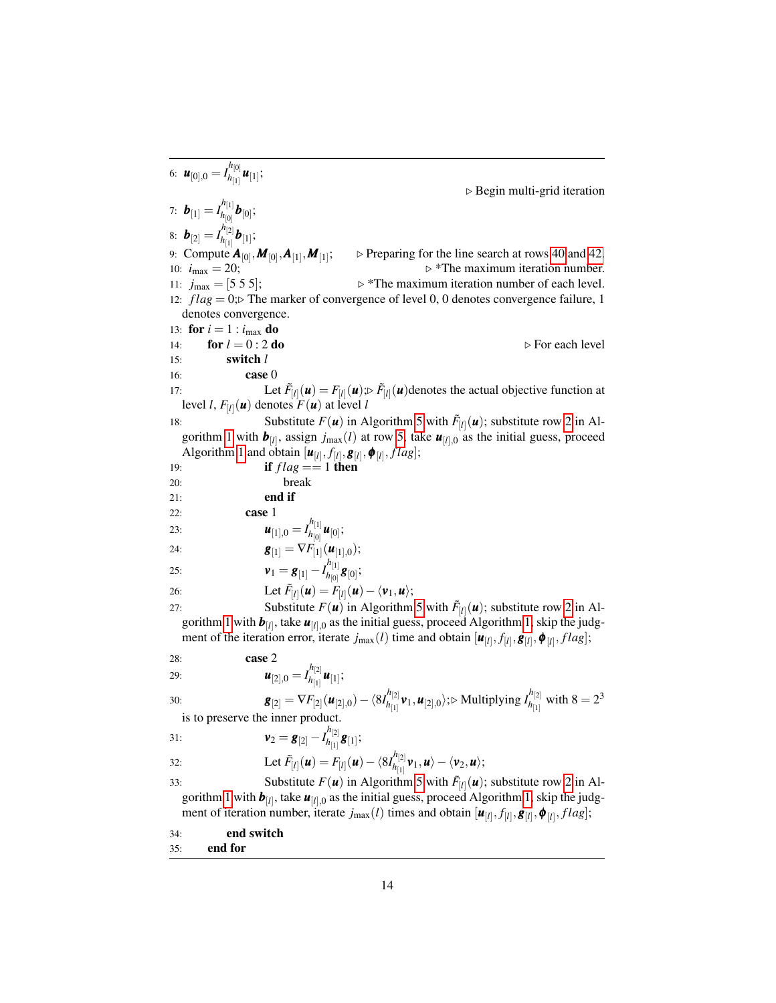6:  $\boldsymbol{u}_{[0],0} = I_{h_{[1]}}^{h_{[0]}}$  $\frac{u_{[0]}}{h_{[1]}}$ **u**<sub>[1]</sub>;  $\triangleright$  Begin multi-grid iteration 7:  $\bm{b}_{[1]} = I_{h_{[0]}}^{h_{[1]}}$  $\bm{b}_{[0]}$   $\bm{b}_{[0]}$ ; 8:  $\bm{b}_{[2]} = I_{h_{[1]}}^{h_{[2]}}$  $\bm{b}_{[1]}^{\text{tr,2}}$   $\bm{b}_{[1]}^{\text{tr,3}}$ 9: Compute *A*[0] ,*M*[0] ,*A*[1] ,*M*[1]  $\triangleright$  Preparing for the line search at rows [40](#page-12-1) and [42.](#page-12-1) 10:  $i_{\text{max}} = 20$ ;  $\triangleright$  \*The maximum iteration number. 11:  $j_{\text{max}} = [5 \ 5 \ 5];$   $\triangleright^*$ The maximum iteration number of each level. 12:  $flag = 0$ ; The marker of convergence of level 0, 0 denotes convergence failure, 1 denotes convergence. 13: **for**  $i = 1$  :  $i_{\text{max}}$  **do** 14: **for**  $l = 0$ : 2 **do** . **For each level**  $\triangleright$  For each level 15: switch *l* 16: **case** ( 17: Let  $\tilde{F}_{[l]}(\mathbf{u}) = F_{[l]}(\mathbf{u}); \tilde{F}_{[l]}(\mathbf{u})$ denotes the actual objective function at level *l*,  $F_{\left[ l \right]} ({\boldsymbol u})$  denotes  $F({\boldsymbol u})$  at level *l* 18: Substitute  $F(\mathbf{u})$  in Algorithm [5](#page-12-0) with  $\tilde{F}_{[l]}(\mathbf{u})$ ; substitute row [2](#page-8-0) in Al-gorithm [1](#page-8-0) with  $\bm{b}_{[l]}$ , assign  $j_{\text{max}}(l)$  at row [5,](#page-8-0) take  $\bm{u}_{[l],0}$  as the initial guess, proceed Algorithm [1](#page-8-0) and obtain  $[\boldsymbol{u}_{[l]}, f_{[l]}, \boldsymbol{g}_{[l]}, \boldsymbol{\phi}_{[l]}, flag];$ 19: **if**  $flag == 1$  then 20: break 21: end if 22: case 1 23:  $\bm{u}_{[1],0} = I_{h_{[0]}}^{h_{[1]}}$  $\frac{u_{[1]}}{h_{[0]}}$ **u**<sub>[0]</sub>; 24:  $g_{[1]} = \nabla F_{[1]}(\boldsymbol{u}_{[1],0});$ 25:  $v_1 = g_{[1]} - I_{h_{[0]}}^{h_{[1]}}$  $\frac{r_{[1]}}{h_{[0]}}$ **g** $_{[0]};$ 26: Let  $\tilde{F}_{[l]}(\boldsymbol{u}) = F_{[l]}(\boldsymbol{u}) - \langle \boldsymbol{v}_1, \boldsymbol{u} \rangle;$ 27: Substitute  $F(\mathbf{u})$  in Algorithm [5](#page-12-0) with  $\tilde{F}_{[l]}(\mathbf{u})$ ; substitute row [2](#page-8-0) in Al-gorithm [1](#page-8-0) with  $\bm{b}_{[l]}$ , take  $\bm{u}_{[l],0}$  as the initial guess, proceed Algorithm [1,](#page-8-0) skip the judgment of the iteration error, iterate  $j_{\text{max}}(l)$  time and obtain  $[\boldsymbol{u}_{[l]}, f_{[l]}, \boldsymbol{g}_{[l]}, \boldsymbol{\phi}_{[l]}, flag];$ 28: case 2 29:  $\bm{u}_{[2],0} = I_{h_{[1]}}^{h_{[2]}}$  $\bm{u}_{[1]}^{\left[2\right]}\bm{u}_{[1]};$ 30: **g**<sub>[2]</sub> =  $\nabla F_{[2]}(\boldsymbol{u}_{[2],0}) - \langle 8I_{h_{[1]}}^{h_{[2]}}\rangle$ *h*<sub>[1]</sub> **v**<sub>1</sub>, **u**<sub>[2],0</sub>};⊳ Multiplying *I*<sup>h</sup><sub>[1]</sub></sup>  $h_{[1]}^{\prime\prime[2]}$  with  $8=2^3$ is to preserve the inner product. 31:  $v_2 = g_{[2]} - I_{h_{[1]}}^{h_{[2]}}$  $\hat{\bm{g}}_{[1]}^{[2]}\bm{g}_{[1]};$ 32: Let  $\tilde{F}_{[l]}(\mathbf{u}) = F_{[l]}(\mathbf{u}) - \langle 8I_{h_{l1l}}^{h_{[2]}}\rangle$  $\langle h_{[1]}^{\prime\prime [2]} v_1,u\rangle - \langle v_2,u\rangle;$ 

33: Substitute  $F(\mathbf{u})$  in Algorithm [5](#page-12-0) with  $\tilde{F}_{[l]}(\mathbf{u})$ ; substitute row [2](#page-8-0) in Al-gorithm [1](#page-8-0) with  $\bm{b}_{[l]}$ , take  $\bm{u}_{[l],0}$  as the initial guess, proceed Algorithm [1,](#page-8-0) skip the judgment of iteration number, iterate  $j_{\max}(l)$  times and obtain  $[\bm{u}_{[l]}, f_{[l]}, \bm{g}_{[l]}, \bm{\phi}_{[l]}, flag];$ 

34: end switch

35: end for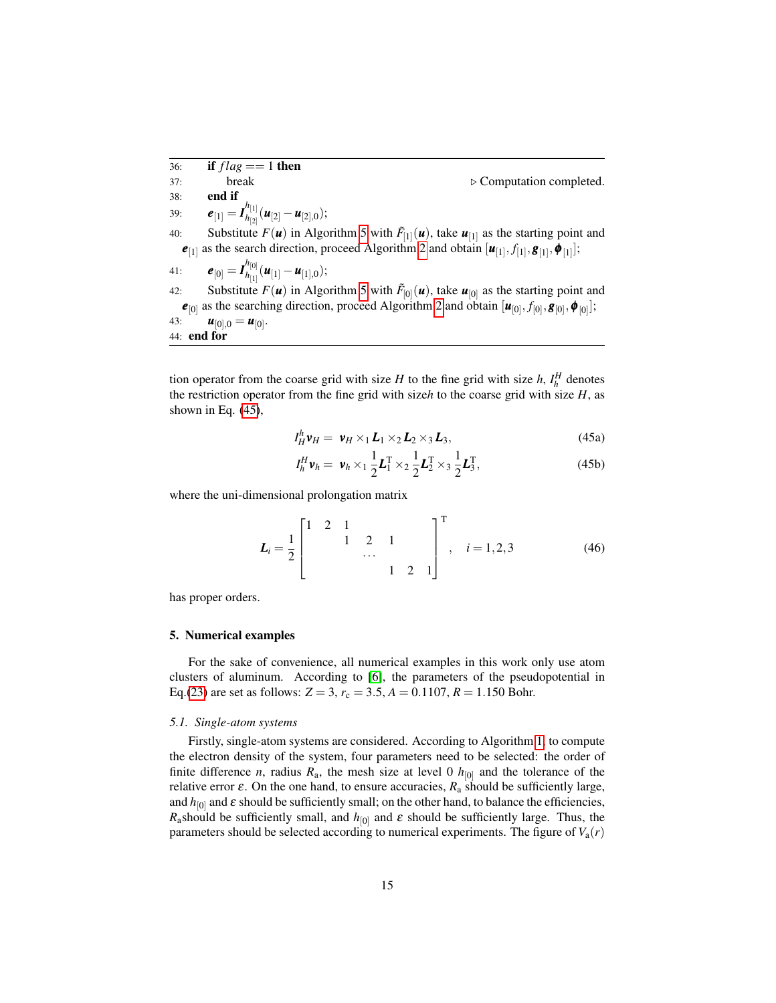$\overline{36}$ : **if**  $flag == 1$  then  $37:$  break  $\triangleright$  Computation completed. 38: end if 39:  $e_{[1]} = I_{h_{[2]}}^{h_{[1]}}$  $\frac{n_{[1]}}{n_{[2]}}(\bm{u}_{[2]}-\bm{u}_{[2],0});$ 40: Substitute  $F(\mathbf{u})$  in Algorithm [5](#page-12-0) with  $\tilde{F}_{[1]}(\mathbf{u})$ , take  $\mathbf{u}_{[1]}$  as the starting point and  $e_{[1]}$  as the search direction, proceed Algorithm [2](#page-9-0) and obtain  $[u_{[1]}, f_{[1]}, g_{[1]}, \phi_{[1]}];$ 41:  $\bm{e}_{[0]} = \bm{I}_{h_{[1]}}^{h_{[0]}}$  $\frac{u_{[0]}}{h_{[1]}}(\bm{u}_{[1]}-\bm{u}_{[1],0});$ 42: Substitute  $F(\mathbf{u})$  in Algorithm [5](#page-12-0) with  $\tilde{F}_{[0]}(\mathbf{u})$ , take  $\mathbf{u}_{[0]}$  as the starting point and  $e_{[0]}$  as the searching direction, proceed Algorithm [2](#page-9-0) and obtain  $[u_{[0]}, f_{[0]}, g_{[0]}, \phi_{[0]}];$ 43:  $u_{[0],0} = u_{[0]}$ . 44: end for

tion operator from the coarse grid with size *H* to the fine grid with size *h*,  $I_h^H$  denotes the restriction operator from the fine grid with size*h* to the coarse grid with size *H*, as shown in Eq. [\(45\)](#page-14-0),

<span id="page-14-0"></span>
$$
I_H^h \mathbf{v}_H = \mathbf{v}_H \times_1 \mathbf{L}_1 \times_2 \mathbf{L}_2 \times_3 \mathbf{L}_3, \tag{45a}
$$

$$
I_h^H \mathbf{v}_h = \mathbf{v}_h \times_1 \frac{1}{2} \mathbf{L}_1^{\mathrm{T}} \times_2 \frac{1}{2} \mathbf{L}_2^{\mathrm{T}} \times_3 \frac{1}{2} \mathbf{L}_3^{\mathrm{T}}, \tag{45b}
$$

where the uni-dimensional prolongation matrix

$$
L_i = \frac{1}{2} \begin{bmatrix} 1 & 2 & 1 & & & \\ & & 1 & 2 & 1 & \\ & & & \ddots & & \\ & & & & 1 & 2 & 1 \end{bmatrix}^{\mathrm{T}}, \quad i = 1, 2, 3 \tag{46}
$$

has proper orders.

### 5. Numerical examples

For the sake of convenience, all numerical examples in this work only use atom clusters of aluminum. According to [\[6\]](#page-20-5), the parameters of the pseudopotential in Eq.[\(23\)](#page-5-2) are set as follows:  $Z = 3$ ,  $r_c = 3.5$ ,  $A = 0.1107$ ,  $R = 1.150$  Bohr.

## *5.1. Single-atom systems*

Firstly, single-atom systems are considered. According to Algorithm [1,](#page-8-0) to compute the electron density of the system, four parameters need to be selected: the order of finite difference *n*, radius  $R_a$ , the mesh size at level 0  $h_{[0]}$  and the tolerance of the relative error ε. On the one hand, to ensure accuracies,  $R_a$  should be sufficiently large, and  $h_{[0]}$  and  $\varepsilon$  should be sufficiently small; on the other hand, to balance the efficiencies, *R*<sub>a</sub>should be sufficiently small, and  $h_{[0]}$  and  $\varepsilon$  should be sufficiently large. Thus, the parameters should be selected according to numerical experiments. The figure of  $V_a(r)$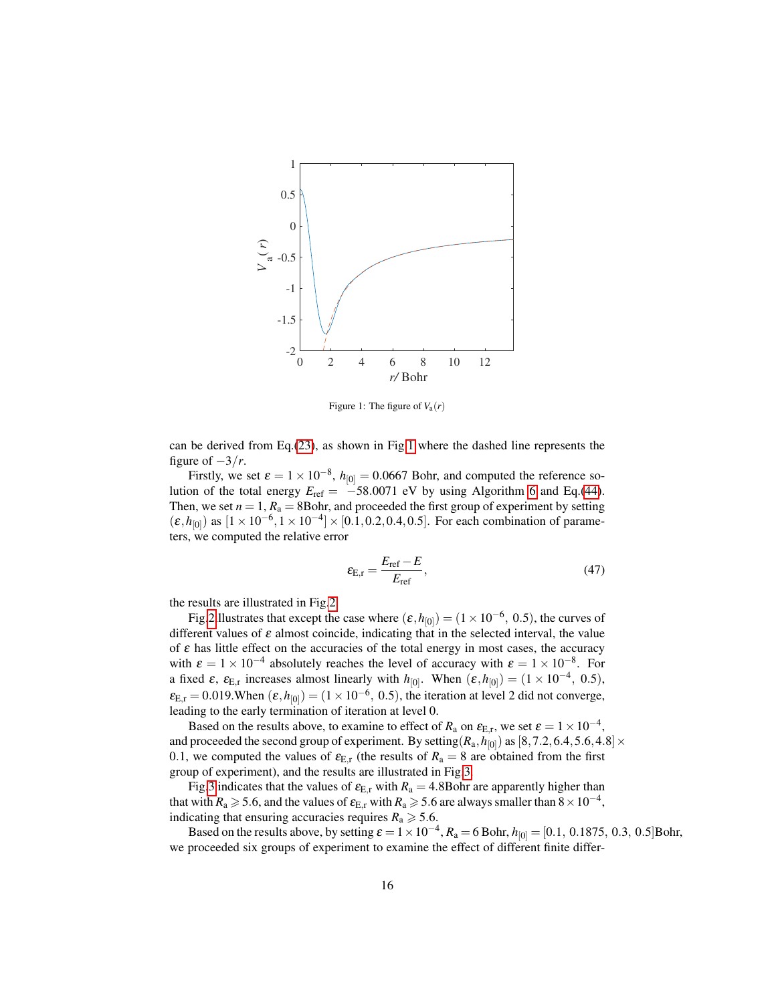

<span id="page-15-0"></span>Figure 1: The figure of  $V_a(r)$ 

can be derived from Eq.[\(23\)](#page-5-2), as shown in Fig[.1](#page-15-0) where the dashed line represents the figure of  $-3/r$ .

Firstly, we set  $\varepsilon = 1 \times 10^{-8}$ ,  $h_{[0]} = 0.0667$  Bohr, and computed the reference solution of the total energy  $E_{ref} = -58.0071$  eV by using Algorithm [6](#page-12-1) and Eq.[\(44\)](#page-12-2). Then, we set  $n = 1$ ,  $R_a = 8$ Bohr, and proceeded the first group of experiment by setting  $(\varepsilon, h_{[0]})$  as  $[1 \times 10^{-6}, 1 \times 10^{-4}] \times [0.1, 0.2, 0.4, 0.5]$ . For each combination of parameters, we computed the relative error

$$
\varepsilon_{\rm E,r} = \frac{E_{\rm ref} - E}{E_{\rm ref}},\tag{47}
$$

the results are illustrated in Fig[.2.](#page-16-0)

Fig[.2i](#page-16-0)llustrates that except the case where  $(\varepsilon, h_{[0]}) = (1 \times 10^{-6}, 0.5)$ , the curves of different values of  $\varepsilon$  almost coincide, indicating that in the selected interval, the value of  $\varepsilon$  has little effect on the accuracies of the total energy in most cases, the accuracy with  $\varepsilon = 1 \times 10^{-4}$  absolutely reaches the level of accuracy with  $\varepsilon = 1 \times 10^{-8}$ . For a fixed  $\varepsilon$ ,  $\varepsilon_{E,r}$  increases almost linearly with  $h_{[0]}$ . When  $(\varepsilon, h_{[0]}) = (1 \times 10^{-4}, 0.5)$ ,  $\varepsilon_{E,r} = 0.019$ . When  $(\varepsilon, h_{[0]}) = (1 \times 10^{-6}, 0.5)$ , the iteration at level 2 did not converge, leading to the early termination of iteration at level 0.

Based on the results above, to examine to effect of  $R_a$  on  $\varepsilon_{E,r}$ , we set  $\varepsilon = 1 \times 10^{-4}$ , and proceeded the second group of experiment. By setting  $(R_a, h_{[0]})$  as  $[8, 7.2, 6.4, 5.6, 4.8] \times$ 0.1, we computed the values of  $\varepsilon_{E,r}$  (the results of  $R_a = 8$  are obtained from the first group of experiment), and the results are illustrated in Fig[.3.](#page-16-1)

Fig[.3](#page-16-1) indicates that the values of  $\varepsilon_{E,r}$  with  $R_a = 4.8$ Bohr are apparently higher than that with  $R_a \ge 5.6$ , and the values of  $\epsilon_{E,r}$  with  $R_a \ge 5.6$  are always smaller than  $8 \times 10^{-4}$ , indicating that ensuring accuracies requires  $R_a \geq 5.6$ .

Based on the results above, by setting  $\varepsilon = 1 \times 10^{-4}$ ,  $R_a = 6$  Bohr,  $h_{[0]} = [0.1, 0.1875, 0.3, 0.5]$ Bohr, we proceeded six groups of experiment to examine the effect of different finite differ-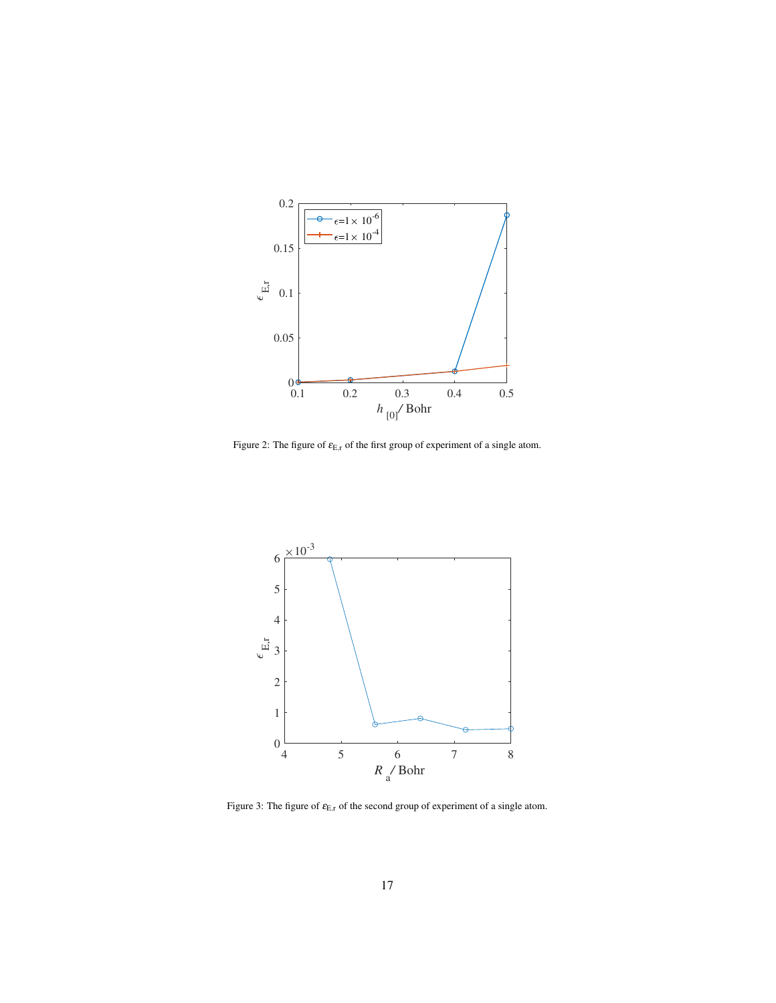

<span id="page-16-0"></span>Figure 2: The figure of  $\varepsilon_{E,r}$  of the first group of experiment of a single atom.



<span id="page-16-1"></span>Figure 3: The figure of  $\varepsilon_{\rm E,r}$  of the second group of experiment of a single atom.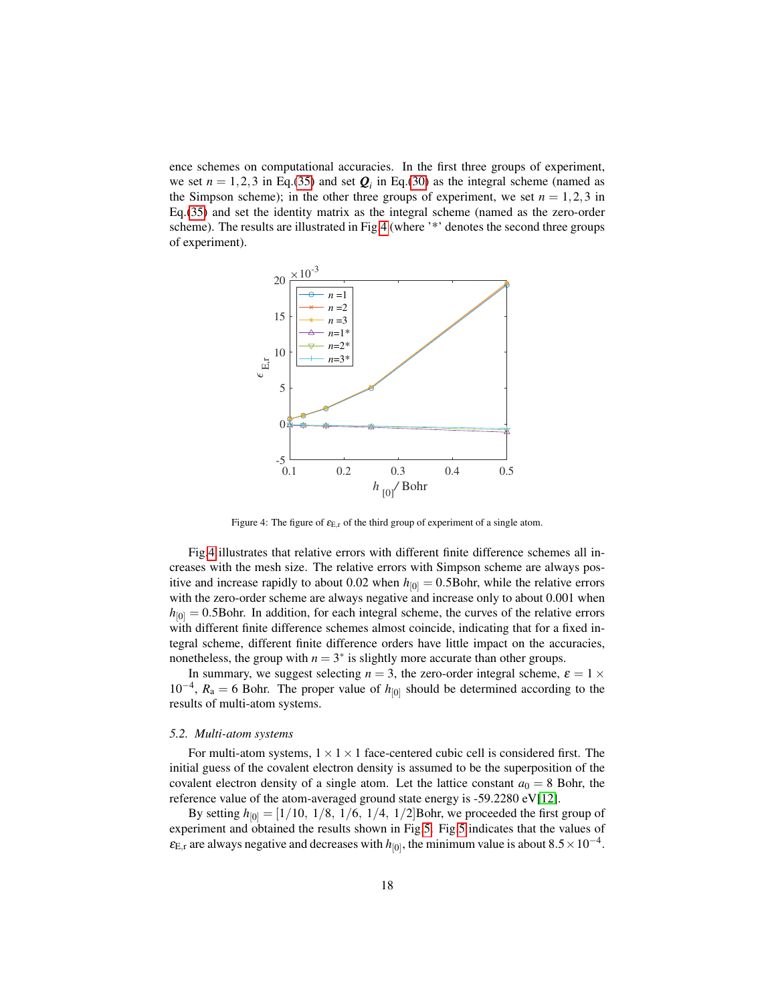ence schemes on computational accuracies. In the first three groups of experiment, we set  $n = 1, 2, 3$  in Eq.[\(35\)](#page-7-0) and set  $\boldsymbol{Q}_i$  in Eq.[\(30\)](#page-6-5) as the integral scheme (named as the Simpson scheme); in the other three groups of experiment, we set  $n = 1, 2, 3$  in Eq.[\(35\)](#page-7-0) and set the identity matrix as the integral scheme (named as the zero-order scheme). The results are illustrated in Fig[.4](#page-17-0) (where '\*' denotes the second three groups of experiment).



<span id="page-17-0"></span>Figure 4: The figure of  $\varepsilon_{E,r}$  of the third group of experiment of a single atom.

Fig[.4](#page-17-0) illustrates that relative errors with different finite difference schemes all increases with the mesh size. The relative errors with Simpson scheme are always positive and increase rapidly to about 0.02 when  $h_{[0]} = 0.5$ Bohr, while the relative errors with the zero-order scheme are always negative and increase only to about 0.001 when  $h_{[0]} = 0.5$ Bohr. In addition, for each integral scheme, the curves of the relative errors with different finite difference schemes almost coincide, indicating that for a fixed integral scheme, different finite difference orders have little impact on the accuracies, nonetheless, the group with  $n = 3^*$  is slightly more accurate than other groups.

In summary, we suggest selecting  $n = 3$ , the zero-order integral scheme,  $\varepsilon = 1 \times$  $10^{-4}$ ,  $R_a = 6$  Bohr. The proper value of  $h_{[0]}$  should be determined according to the results of multi-atom systems.

#### *5.2. Multi-atom systems*

For multi-atom systems,  $1 \times 1 \times 1$  face-centered cubic cell is considered first. The initial guess of the covalent electron density is assumed to be the superposition of the covalent electron density of a single atom. Let the lattice constant  $a_0 = 8$  Bohr, the reference value of the atom-averaged ground state energy is -59.2280 eV[\[12\]](#page-21-1).

By setting  $h_{[0]} = [1/10, 1/8, 1/6, 1/4, 1/2]$ Bohr, we proceeded the first group of experiment and obtained the results shown in Fig[.5.](#page-18-0) Fig[.5](#page-18-0) indicates that the values of  $\varepsilon_{\text{E,r}}$  are always negative and decreases with  $h_{[0]}$ , the minimum value is about  $8.5 \times 10^{-4}$ .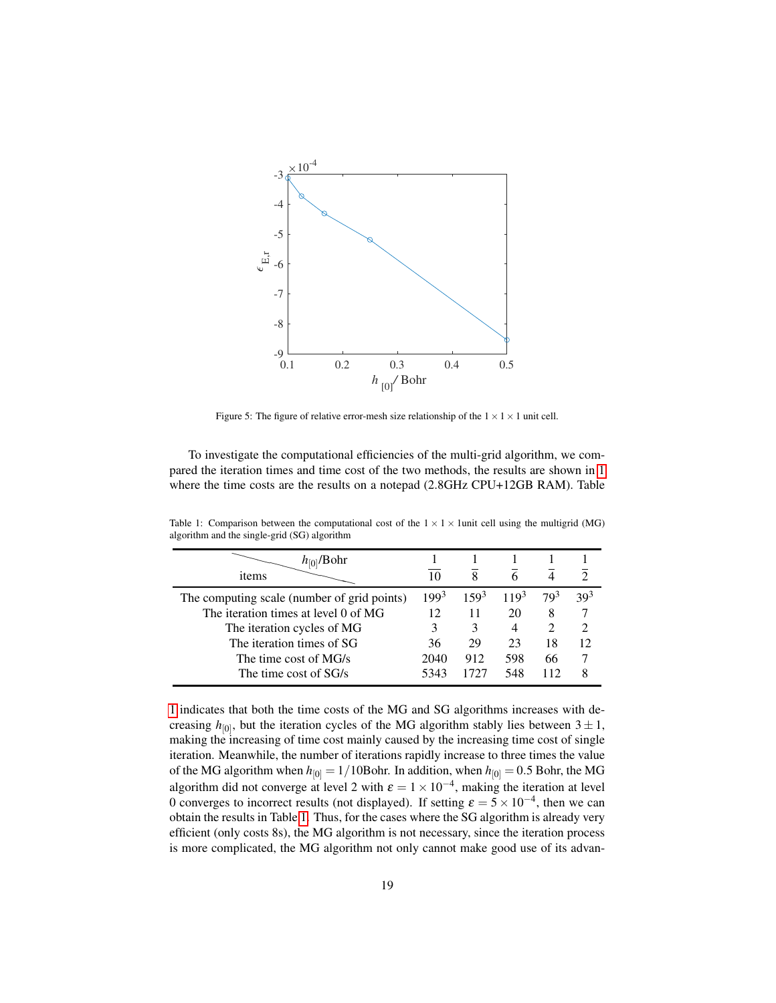

<span id="page-18-0"></span>Figure 5: The figure of relative error-mesh size relationship of the  $1 \times 1 \times 1$  unit cell.

To investigate the computational efficiencies of the multi-grid algorithm, we compared the iteration times and time cost of the two methods, the results are shown in [1](#page-18-1) where the time costs are the results on a notepad (2.8GHz CPU+12GB RAM). Table

| 10        |           |           |                 |                             |
|-----------|-----------|-----------|-----------------|-----------------------------|
| $199^{3}$ | $159^{3}$ | $119^{3}$ | 79 <sup>3</sup> | 39 <sup>3</sup>             |
| 12        | 11        | 20        | 8               |                             |
| 3         |           | 4         |                 | $\mathcal{D}_{\mathcal{L}}$ |
| 36        | 29        | 23        | 18              | 12                          |
| 2040      | 912       | 598       | 66              |                             |
| 5343      | 1727      | 548       | 112             |                             |
|           |           |           |                 |                             |

<span id="page-18-1"></span>Table 1: Comparison between the computational cost of the  $1 \times 1 \times 1$ unit cell using the multigrid (MG) algorithm and the single-grid (SG) algorithm

[1](#page-18-1) indicates that both the time costs of the MG and SG algorithms increases with decreasing  $h_{[0]}$ , but the iteration cycles of the MG algorithm stably lies between  $3 \pm 1$ , making the increasing of time cost mainly caused by the increasing time cost of single iteration. Meanwhile, the number of iterations rapidly increase to three times the value of the MG algorithm when  $h_{[0]} = 1/10$ Bohr. In addition, when  $h_{[0]} = 0.5$  Bohr, the MG algorithm did not converge at level 2 with  $\varepsilon = 1 \times 10^{-4}$ , making the iteration at level 0 converges to incorrect results (not displayed). If setting  $\varepsilon = 5 \times 10^{-4}$ , then we can obtain the results in Table [1.](#page-18-1) Thus, for the cases where the SG algorithm is already very efficient (only costs 8s), the MG algorithm is not necessary, since the iteration process is more complicated, the MG algorithm not only cannot make good use of its advan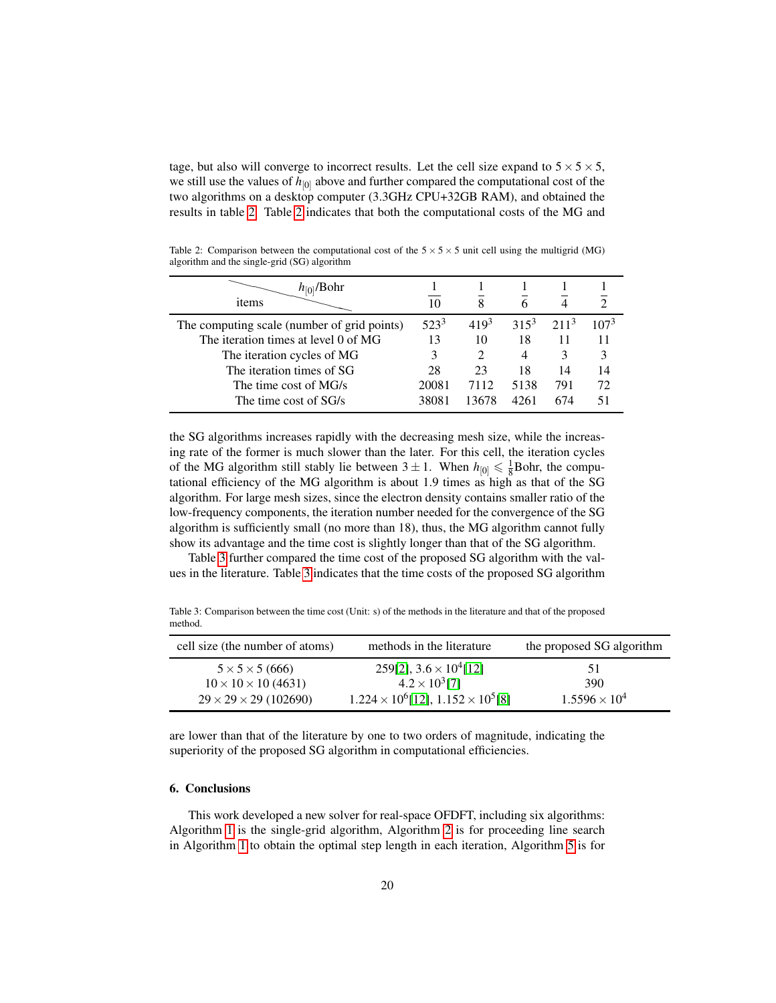tage, but also will converge to incorrect results. Let the cell size expand to  $5 \times 5 \times 5$ , we still use the values of  $h_{[0]}$  above and further compared the computational cost of the two algorithms on a desktop computer (3.3GHz CPU+32GB RAM), and obtained the results in table [2.](#page-19-0) Table [2](#page-19-0) indicates that both the computational costs of the MG and

<span id="page-19-0"></span>Table 2: Comparison between the computational cost of the  $5 \times 5 \times 5$  unit cell using the multigrid (MG) algorithm and the single-grid (SG) algorithm

| 10      |           |         |         |                  |
|---------|-----------|---------|---------|------------------|
| $523^3$ | $419^{3}$ | $315^3$ | $211^3$ | 107 <sup>3</sup> |
| 13      | 10        | 18      |         |                  |
| 3       |           | 4       |         | 3                |
| 28      | 23        | 18      | 14      | 14               |
| 20081   | 7112      | 5138    | 791     | 72               |
| 38081   | 13678     | 4261    | 674     |                  |
|         |           |         |         |                  |

the SG algorithms increases rapidly with the decreasing mesh size, while the increasing rate of the former is much slower than the later. For this cell, the iteration cycles of the MG algorithm still stably lie between  $3 \pm 1$ . When  $h_{[0]} \leq \frac{1}{8}$ Bohr, the computational efficiency of the MG algorithm is about 1.9 times as high as that of the SG algorithm. For large mesh sizes, since the electron density contains smaller ratio of the low-frequency components, the iteration number needed for the convergence of the SG algorithm is sufficiently small (no more than 18), thus, the MG algorithm cannot fully show its advantage and the time cost is slightly longer than that of the SG algorithm.

Table [3](#page-19-1) further compared the time cost of the proposed SG algorithm with the values in the literature. Table [3](#page-19-1) indicates that the time costs of the proposed SG algorithm

<span id="page-19-1"></span>Table 3: Comparison between the time cost (Unit: s) of the methods in the literature and that of the proposed method.

| cell size (the number of atoms)   | methods in the literature                         | the proposed SG algorithm |
|-----------------------------------|---------------------------------------------------|---------------------------|
| $5 \times 5 \times 5 (666)$       | 259[2], $3.6 \times 10^4$ [12]                    | 51                        |
| $10 \times 10 \times 10$ (4631)   | $4.2 \times 10^3$ [7]                             | 390                       |
| $29 \times 29 \times 29$ (102690) | $1.224 \times 10^6$ [12], $1.152 \times 10^5$ [8] | $1.5596 \times 10^{4}$    |

are lower than that of the literature by one to two orders of magnitude, indicating the superiority of the proposed SG algorithm in computational efficiencies.

# 6. Conclusions

This work developed a new solver for real-space OFDFT, including six algorithms: Algorithm [1](#page-8-0) is the single-grid algorithm, Algorithm [2](#page-9-0) is for proceeding line search in Algorithm [1](#page-8-0) to obtain the optimal step length in each iteration, Algorithm [5](#page-12-0) is for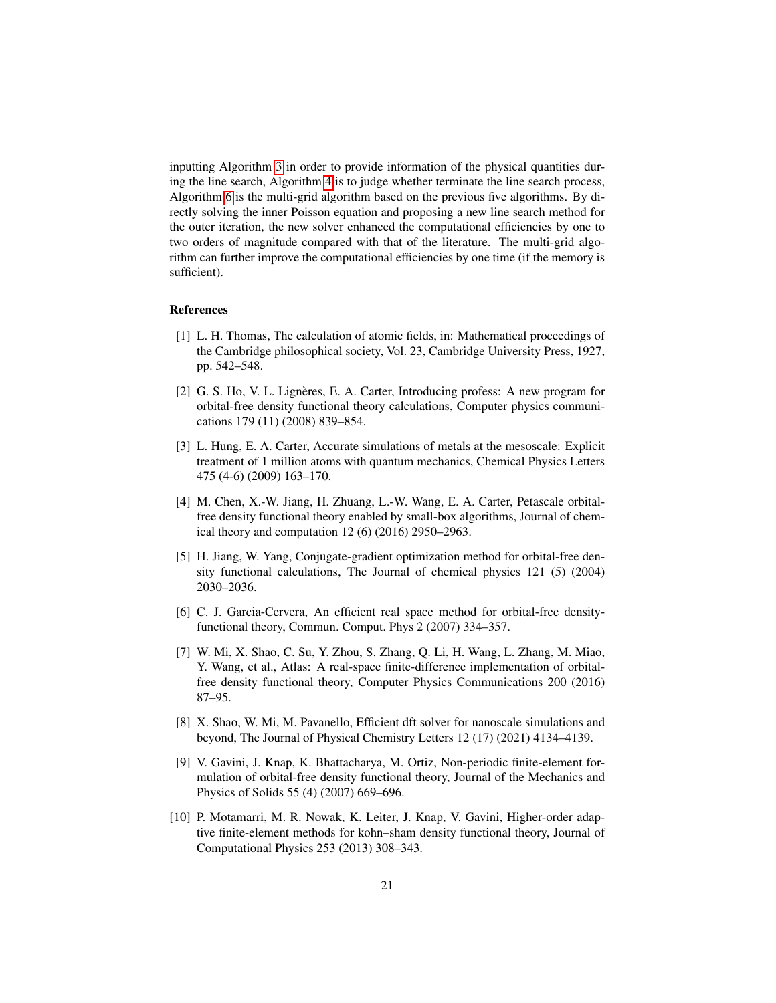inputting Algorithm [3](#page-11-0) in order to provide information of the physical quantities during the line search, Algorithm [4](#page-11-1) is to judge whether terminate the line search process, Algorithm [6](#page-12-1) is the multi-grid algorithm based on the previous five algorithms. By directly solving the inner Poisson equation and proposing a new line search method for the outer iteration, the new solver enhanced the computational efficiencies by one to two orders of magnitude compared with that of the literature. The multi-grid algorithm can further improve the computational efficiencies by one time (if the memory is sufficient).

#### References

- <span id="page-20-0"></span>[1] L. H. Thomas, The calculation of atomic fields, in: Mathematical proceedings of the Cambridge philosophical society, Vol. 23, Cambridge University Press, 1927, pp. 542–548.
- <span id="page-20-1"></span>[2] G. S. Ho, V. L. Lignères, E. A. Carter, Introducing profess: A new program for orbital-free density functional theory calculations, Computer physics communications 179 (11) (2008) 839–854.
- <span id="page-20-2"></span>[3] L. Hung, E. A. Carter, Accurate simulations of metals at the mesoscale: Explicit treatment of 1 million atoms with quantum mechanics, Chemical Physics Letters 475 (4-6) (2009) 163–170.
- <span id="page-20-3"></span>[4] M. Chen, X.-W. Jiang, H. Zhuang, L.-W. Wang, E. A. Carter, Petascale orbitalfree density functional theory enabled by small-box algorithms, Journal of chemical theory and computation 12 (6) (2016) 2950–2963.
- <span id="page-20-4"></span>[5] H. Jiang, W. Yang, Conjugate-gradient optimization method for orbital-free density functional calculations, The Journal of chemical physics 121 (5) (2004) 2030–2036.
- <span id="page-20-5"></span>[6] C. J. Garcia-Cervera, An efficient real space method for orbital-free densityfunctional theory, Commun. Comput. Phys 2 (2007) 334–357.
- <span id="page-20-6"></span>[7] W. Mi, X. Shao, C. Su, Y. Zhou, S. Zhang, Q. Li, H. Wang, L. Zhang, M. Miao, Y. Wang, et al., Atlas: A real-space finite-difference implementation of orbitalfree density functional theory, Computer Physics Communications 200 (2016) 87–95.
- <span id="page-20-7"></span>[8] X. Shao, W. Mi, M. Pavanello, Efficient dft solver for nanoscale simulations and beyond, The Journal of Physical Chemistry Letters 12 (17) (2021) 4134–4139.
- <span id="page-20-8"></span>[9] V. Gavini, J. Knap, K. Bhattacharya, M. Ortiz, Non-periodic finite-element formulation of orbital-free density functional theory, Journal of the Mechanics and Physics of Solids 55 (4) (2007) 669–696.
- <span id="page-20-9"></span>[10] P. Motamarri, M. R. Nowak, K. Leiter, J. Knap, V. Gavini, Higher-order adaptive finite-element methods for kohn–sham density functional theory, Journal of Computational Physics 253 (2013) 308–343.